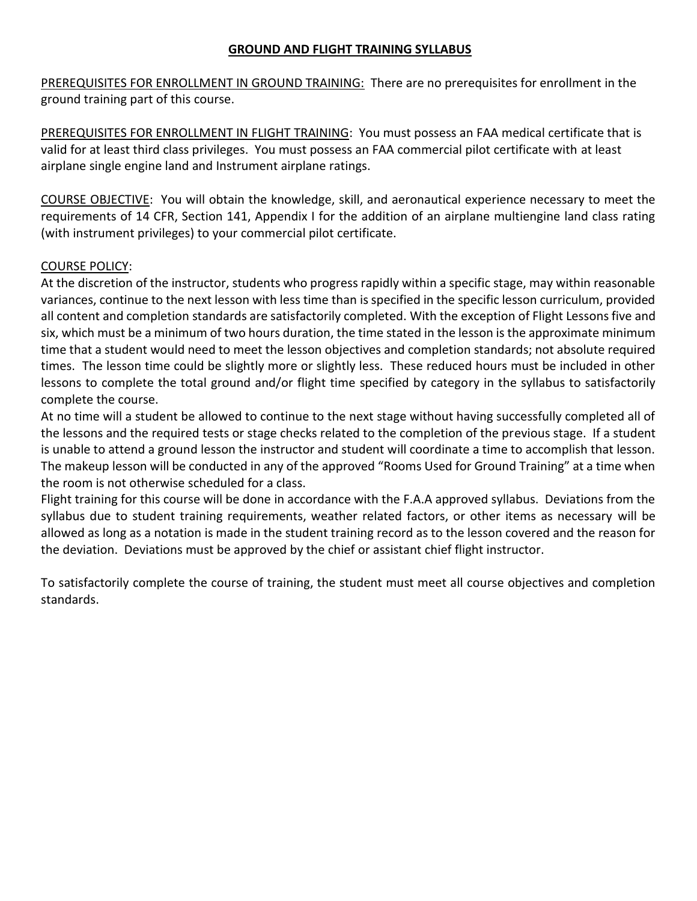## **GROUND AND FLIGHT TRAINING SYLLABUS**

PREREQUISITES FOR ENROLLMENT IN GROUND TRAINING: There are no prerequisites for enrollment in the ground training part of this course.

PREREQUISITES FOR ENROLLMENT IN FLIGHT TRAINING: You must possess an FAA medical certificate that is valid for at least third class privileges. You must possess an FAA commercial pilot certificate with at least airplane single engine land and Instrument airplane ratings.

COURSE OBJECTIVE: You will obtain the knowledge, skill, and aeronautical experience necessary to meet the requirements of 14 CFR, Section 141, Appendix I for the addition of an airplane multiengine land class rating (with instrument privileges) to your commercial pilot certificate.

## COURSE POLICY:

At the discretion of the instructor, students who progress rapidly within a specific stage, may within reasonable variances, continue to the next lesson with less time than is specified in the specific lesson curriculum, provided all content and completion standards are satisfactorily completed. With the exception of Flight Lessons five and six, which must be a minimum of two hours duration, the time stated in the lesson is the approximate minimum time that a student would need to meet the lesson objectives and completion standards; not absolute required times. The lesson time could be slightly more or slightly less. These reduced hours must be included in other lessons to complete the total ground and/or flight time specified by category in the syllabus to satisfactorily complete the course.

At no time will a student be allowed to continue to the next stage without having successfully completed all of the lessons and the required tests or stage checks related to the completion of the previous stage. If a student is unable to attend a ground lesson the instructor and student will coordinate a time to accomplish that lesson. The makeup lesson will be conducted in any of the approved "Rooms Used for Ground Training" at a time when the room is not otherwise scheduled for a class.

Flight training for this course will be done in accordance with the F.A.A approved syllabus. Deviations from the syllabus due to student training requirements, weather related factors, or other items as necessary will be allowed as long as a notation is made in the student training record as to the lesson covered and the reason for the deviation. Deviations must be approved by the chief or assistant chief flight instructor.

To satisfactorily complete the course of training, the student must meet all course objectives and completion standards.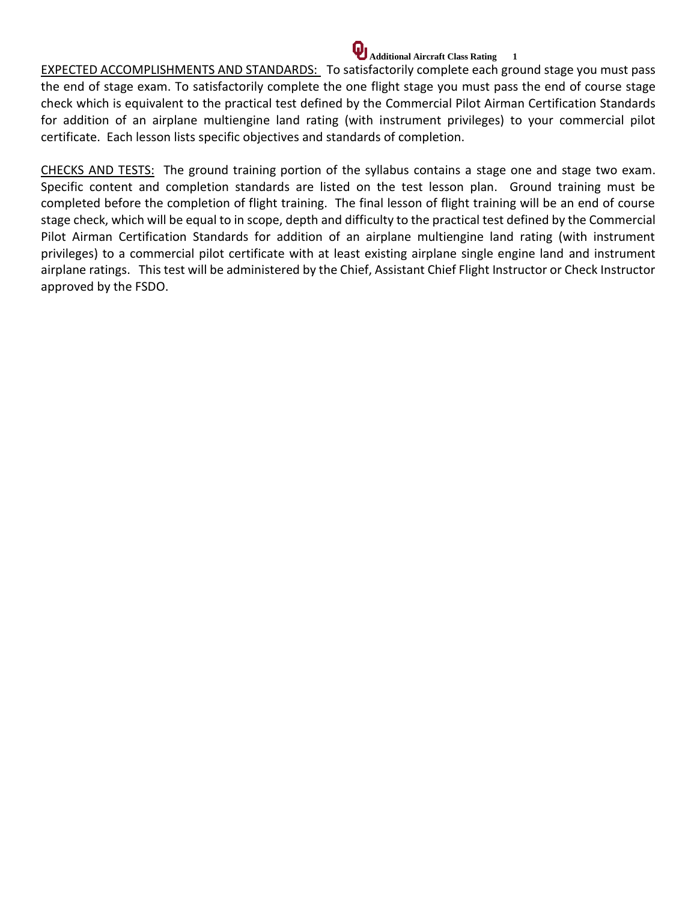# **Additional Aircraft Class Rating 1**

EXPECTED ACCOMPLISHMENTS AND STANDARDS: To satisfactorily complete each ground stage you must pass the end of stage exam. To satisfactorily complete the one flight stage you must pass the end of course stage check which is equivalent to the practical test defined by the Commercial Pilot Airman Certification Standards for addition of an airplane multiengine land rating (with instrument privileges) to your commercial pilot certificate. Each lesson lists specific objectives and standards of completion.

CHECKS AND TESTS: The ground training portion of the syllabus contains a stage one and stage two exam. Specific content and completion standards are listed on the test lesson plan. Ground training must be completed before the completion of flight training. The final lesson of flight training will be an end of course stage check, which will be equal to in scope, depth and difficulty to the practical test defined by the Commercial Pilot Airman Certification Standards for addition of an airplane multiengine land rating (with instrument privileges) to a commercial pilot certificate with at least existing airplane single engine land and instrument airplane ratings. This test will be administered by the Chief, Assistant Chief Flight Instructor or Check Instructor approved by the FSDO.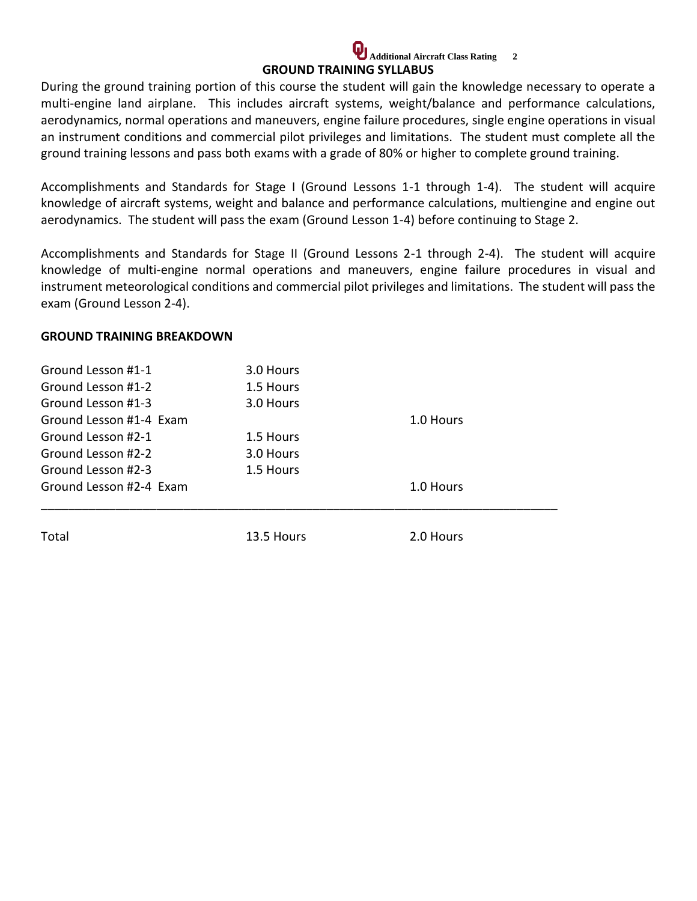## **Additional Aircraft Class Rating 2 GROUND TRAINING SYLLABUS**

During the ground training portion of this course the student will gain the knowledge necessary to operate a multi-engine land airplane. This includes aircraft systems, weight/balance and performance calculations, aerodynamics, normal operations and maneuvers, engine failure procedures, single engine operations in visual an instrument conditions and commercial pilot privileges and limitations. The student must complete all the ground training lessons and pass both exams with a grade of 80% or higher to complete ground training.

Accomplishments and Standards for Stage I (Ground Lessons 1-1 through 1-4). The student will acquire knowledge of aircraft systems, weight and balance and performance calculations, multiengine and engine out aerodynamics. The student will pass the exam (Ground Lesson 1-4) before continuing to Stage 2.

Accomplishments and Standards for Stage II (Ground Lessons 2-1 through 2-4). The student will acquire knowledge of multi-engine normal operations and maneuvers, engine failure procedures in visual and instrument meteorological conditions and commercial pilot privileges and limitations. The student will pass the exam (Ground Lesson 2-4).

## **GROUND TRAINING BREAKDOWN**

| Ground Lesson #1-1      | 3.0 Hours  |           |
|-------------------------|------------|-----------|
| Ground Lesson #1-2      | 1.5 Hours  |           |
| Ground Lesson #1-3      | 3.0 Hours  |           |
| Ground Lesson #1-4 Exam |            | 1.0 Hours |
| Ground Lesson #2-1      | 1.5 Hours  |           |
| Ground Lesson #2-2      | 3.0 Hours  |           |
| Ground Lesson #2-3      | 1.5 Hours  |           |
| Ground Lesson #2-4 Exam |            | 1.0 Hours |
|                         |            |           |
| Total                   | 13.5 Hours | 2.0 Hours |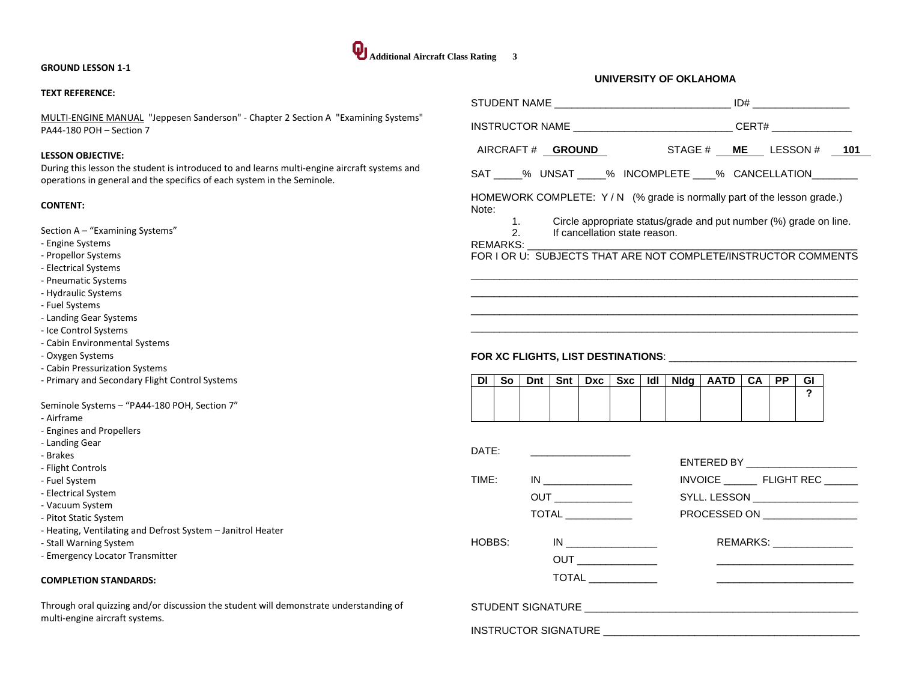#### **GROUND LESSON 1-1**

#### **TEXT REFERENCE:**

MULTI-ENGINE MANUAL "Jeppesen Sanderson" - Chapter 2 Section A "Examining Systems" PA44-180 POH – Section 7

#### **LESSON OBJECTIVE:**

During this lesson the student is introduced to and learns multi-engine aircraft systems and operations in general and the specifics of each system in the Seminole.

#### **CONTENT:**

Section A – "Examining Systems"

- Engine Systems
- Propellor Systems
- Electrical Systems
- Pneumatic Systems
- Hydraulic Systems
- Fuel Systems
- Landing Gear Systems
- Ice Control Systems
- Cabin Environmental Systems
- Oxygen Systems
- Cabin Pressurization Systems
- Primary and Secondary Flight Control Systems

Seminole Systems – "PA44-180 POH, Section 7"

- Airframe
- Engines and Propellers
- Landing Gear
- Brakes
- Flight Controls
- Fuel System
- Electrical System
- Vacuum System
- Pitot Static System
- Heating, Ventilating and Defrost System Janitrol Heater
- Stall Warning System
- Emergency Locator Transmitter

#### **COMPLETION STANDARDS:**

Through oral quizzing and/or discussion the student will demonstrate understanding of multi-engine aircraft systems.

| UNIVERSITY OF OKLAHOMA                               |  |
|------------------------------------------------------|--|
|                                                      |  |
|                                                      |  |
| AIRCRAFT# GROUND   STAGE # ME LESSON # 101           |  |
| SAT ____% UNSAT _____% INCOMPLETE ____% CANCELLATION |  |

HOMEWORK COMPLETE: Y/N (% grade is normally part of the lesson grade.) Note:

- 1. Circle appropriate status/grade and put number (%) grade on line.<br>2. If cancellation state reason.
- If cancellation state reason.

#### REMARKS:

FOR I OR U: SUBJECTS THAT ARE NOT COMPLETE/INSTRUCTOR COMMENTS  $\overline{a}$  , and the set of the set of the set of the set of the set of the set of the set of the set of the set of the set of the set of the set of the set of the set of the set of the set of the set of the set of the set

 $\overline{a}$  , and the state of the state of the state of the state of the state of the state of the state of the state of the state of the state of the state of the state of the state of the state of the state of the state o  $\overline{a}$  , and the set of the set of the set of the set of the set of the set of the set of the set of the set of the set of the set of the set of the set of the set of the set of the set of the set of the set of the set  $\overline{a}$  , and the set of the set of the set of the set of the set of the set of the set of the set of the set of the set of the set of the set of the set of the set of the set of the set of the set of the set of the set

#### **FOR XC FLIGHTS, LIST DESTINATIONS**: \_\_\_\_\_\_\_\_\_\_\_\_\_\_\_\_\_\_\_\_\_\_\_\_\_\_\_\_\_\_\_\_\_

| <b>DI</b> | So l |  |  |  | Dnt   Snt   Dxc   Sxc   Idl   Nidg   AATD   CA   PP |  | GI |
|-----------|------|--|--|--|-----------------------------------------------------|--|----|
|           |      |  |  |  |                                                     |  |    |
|           |      |  |  |  |                                                     |  |    |
|           |      |  |  |  |                                                     |  |    |

| $\mathsf{DATF}$ : |                            | ENTERED BY _______________________                                                                                                                                                                                                                                                                                                                                             |
|-------------------|----------------------------|--------------------------------------------------------------------------------------------------------------------------------------------------------------------------------------------------------------------------------------------------------------------------------------------------------------------------------------------------------------------------------|
| TIME:             |                            | INVOICE FLIGHT REC                                                                                                                                                                                                                                                                                                                                                             |
|                   |                            | SYLL. LESSON ___________________                                                                                                                                                                                                                                                                                                                                               |
|                   |                            | PROCESSED ON __________________                                                                                                                                                                                                                                                                                                                                                |
| HOBBS: The Mo     | <b>TOTAL</b> _____________ | REMARKS: ________________<br>and the control of the control of the control of the control of the control of the control of the control of the<br>the control of the control of the control of the control of the control of the control of the control of the control of the control of the control of the control of the control of the control of the control of the control |
|                   |                            |                                                                                                                                                                                                                                                                                                                                                                                |
|                   |                            |                                                                                                                                                                                                                                                                                                                                                                                |

INSTRUCTOR SIGNATURE **EXECUTIVE** 

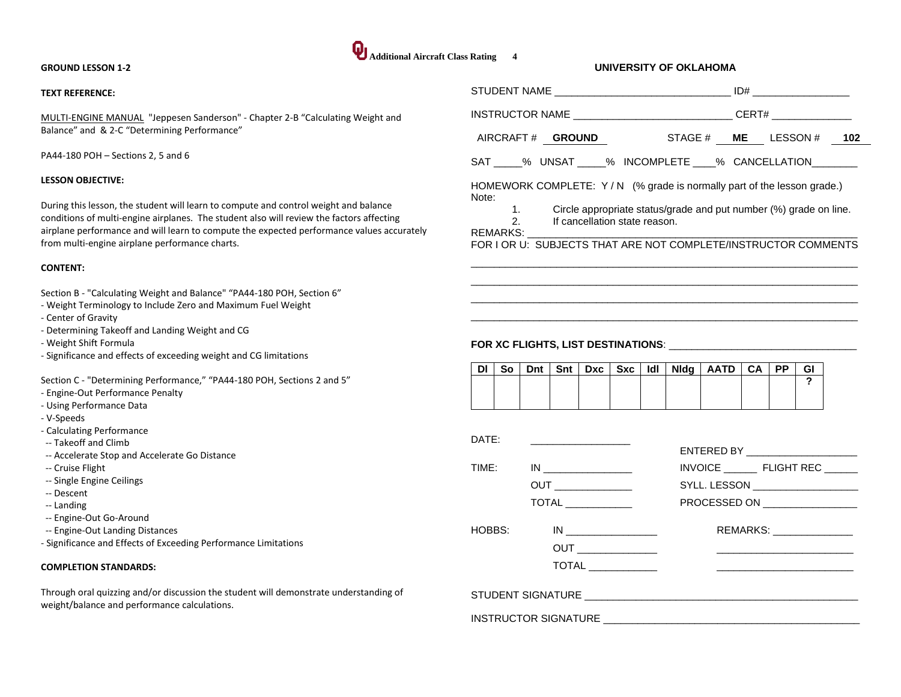#### **GROUND LESSON 1-2**

#### **TEXT REFERENCE:**

MULTI-ENGINE MANUAL "Jeppesen Sanderson" - Chapter 2-B "Calculating Weight and Balance" and & 2-C "Determining Performance"

PA44-180 POH – Sections 2, 5 and 6

#### **LESSON OBJECTIVE:**

During this lesson, the student will learn to compute and control weight and balance conditions of multi-engine airplanes. The student also will review the factors affecting airplane performance and will learn to compute the expected performance values accurately from multi-engine airplane performance charts.

#### **CONTENT:**

Section B - "Calculating Weight and Balance" "PA44-180 POH, Section 6"

- Weight Terminology to Include Zero and Maximum Fuel Weight
- Center of Gravity
- Determining Takeoff and Landing Weight and CG
- Weight Shift Formula
- Significance and effects of exceeding weight and CG limitations

Section C - "Determining Performance," "PA44-180 POH, Sections 2 and 5"

- Engine-Out Performance Penalty
- Using Performance Data
- V-Speeds
- Calculating Performance
- -- Takeoff and Climb
- -- Accelerate Stop and Accelerate Go Distance
- -- Cruise Flight
- -- Single Engine Ceilings
- -- Descent
- -- Landing
- -- Engine-Out Go-Around
- -- Engine-Out Landing Distances
- Significance and Effects of Exceeding Performance Limitations

#### **COMPLETION STANDARDS:**

Through oral quizzing and/or discussion the student will demonstrate understanding of weight/balance and performance calculations.

# **Additional Aircraft Class Rating 4 UNIVERSITY OF OKLAHOMA** STUDENT NAME \_\_\_\_\_\_\_\_\_\_\_\_\_\_\_\_\_\_\_\_\_\_\_\_\_\_\_\_\_\_\_ ID# \_\_\_\_\_\_\_\_\_\_\_\_\_\_\_\_\_ INSTRUCTOR NAME THE CERT# AIRCRAFT # **GROUND** STAGE # **ME** LESSON # **102** SAT \_\_\_\_% UNSAT \_\_\_\_% INCOMPLETE \_\_\_\_% CANCELLATION HOMEWORK COMPLETE: Y/N (% grade is normally part of the lesson grade.) Note: 1. Circle appropriate status/grade and put number (%) grade on line.<br>2 lf cancellation state reason If cancellation state reason. REMARKS: FOR I OR U: SUBJECTS THAT ARE NOT COMPLETE/INSTRUCTOR COMMENTS  $\overline{a}$  , and the set of the set of the set of the set of the set of the set of the set of the set of the set of the set of the set of the set of the set of the set of the set of the set of the set of the set of the set  $\overline{a}$  , and the set of the set of the set of the set of the set of the set of the set of the set of the set of the set of the set of the set of the set of the set of the set of the set of the set of the set of the set  $\overline{a}$  , and the state of the state of the state of the state of the state of the state of the state of the state of the state of the state of the state of the state of the state of the state of the state of the state o  $\overline{a}$  , and the set of the set of the set of the set of the set of the set of the set of the set of the set of the set of the set of the set of the set of the set of the set of the set of the set of the set of the set **FOR XC FLIGHTS, LIST DESTINATIONS**: \_\_\_\_\_\_\_\_\_\_\_\_\_\_\_\_\_\_\_\_\_\_\_\_\_\_\_\_\_\_\_\_\_ **Dl So Dnt Snt Dxc Sxc Idl Nldg AATD CA PP GI ?** INSTRUCTOR SIGNATURE \_\_\_\_\_\_\_\_\_\_\_\_\_\_\_\_\_\_\_\_\_\_\_\_\_\_\_\_\_\_\_\_\_\_\_\_\_\_\_\_\_\_\_\_\_ DATE: \_\_\_\_\_\_\_\_\_\_\_\_\_\_\_\_\_\_ ENTERED BY \_\_\_\_\_\_\_\_\_\_\_\_\_\_\_\_\_\_\_\_ TIME: IN \_\_\_\_\_\_\_\_\_\_\_\_\_\_\_\_ INVOICE \_\_\_\_\_\_ FLIGHT REC \_\_\_\_\_\_ OUT \_\_\_\_\_\_\_\_\_\_\_\_\_\_ SYLL. LESSON \_\_\_\_\_\_\_\_\_\_\_\_\_\_\_\_\_\_\_

HOBBS: IN \_\_\_\_\_\_\_\_\_\_\_\_\_\_\_\_\_\_\_\_\_ REMARKS: \_\_\_\_\_\_\_\_\_\_\_\_\_\_

TOTAL \_\_\_\_\_\_\_\_\_\_\_\_ PROCESSED ON \_\_\_\_\_\_\_\_\_\_\_\_\_\_\_\_\_

STUDENT SIGNATURE \_\_\_\_\_\_\_\_\_\_\_\_\_\_\_\_\_\_\_\_\_\_\_\_\_\_\_\_\_\_\_\_\_\_\_\_\_\_\_\_\_\_\_\_\_\_\_\_

OUT QUERECTE THE STATE OF THE STATE OF THE STATE OF THE STATE OF THE STATE OF THE STATE OF THE STATE OF THE ST  $\mathsf{TOTAL} \ \_\_\_\_\_\_\_\_\_\_\_\_\_\_\_\_\_\_$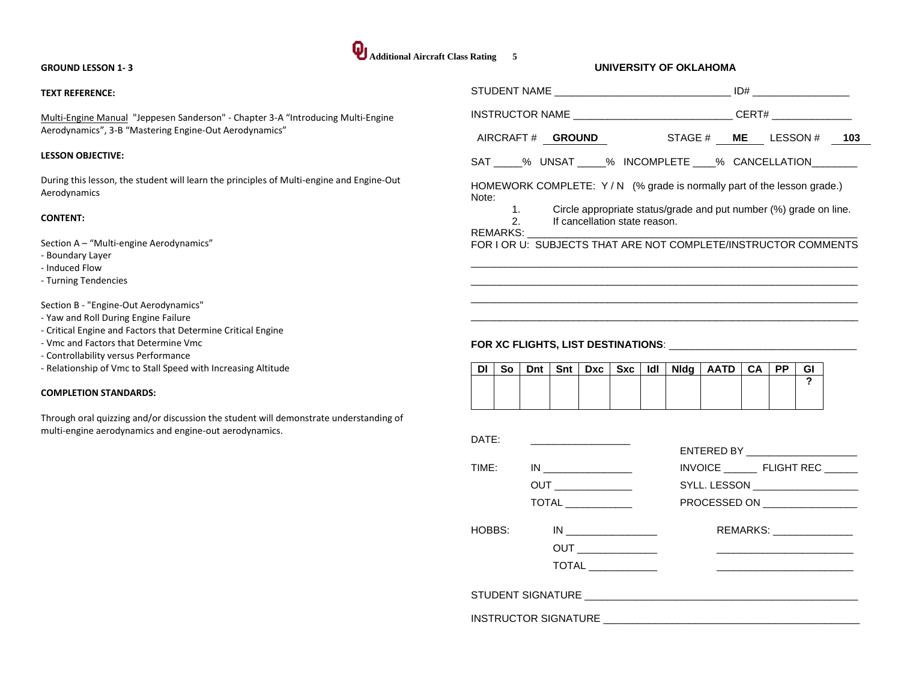#### **GROUND LESSON 1- 3**

#### **TEXT REFERENCE:**

Multi-Engine Manual "Jeppesen Sanderson" - Chapter 3-A "Introducing Multi-Engine Aerodynamics", 3-B "Mastering Engine-Out Aerodynamics"

#### **LESSON OBJECTIVE:**

During this lesson, the student will learn the principles of Multi-engine and Engine-Out Aerodynamics

#### **CONTENT:**

Section A – "Multi-engine Aerodynamics"

- Boundary Layer
- Induced Flow
- Turning Tendencies

Section B - "Engine-Out Aerodynamics"

- Yaw and Roll During Engine Failure
- Critical Engine and Factors that Determine Critical Engine
- Vmc and Factors that Determine Vmc
- Controllability versus Performance
- Relationship of Vmc to Stall Speed with Increasing Altitude

#### **COMPLETION STANDARDS:**

Through oral quizzing and/or discussion the student will demonstrate understanding of multi-engine aerodynamics and engine-out aerodynamics.

|        |                |     |     |                                                                                                                                                                                                                                                                                                                                                     |                               |     |             | INSTRUCTOR NAME ________________________________CERT# _______________  |           |           |                                              |  |
|--------|----------------|-----|-----|-----------------------------------------------------------------------------------------------------------------------------------------------------------------------------------------------------------------------------------------------------------------------------------------------------------------------------------------------------|-------------------------------|-----|-------------|------------------------------------------------------------------------|-----------|-----------|----------------------------------------------|--|
|        |                |     |     | AIRCRAFT# <b>GROUND</b>                                                                                                                                                                                                                                                                                                                             |                               |     |             | STAGE $#$ ME LESSON $#$ 103                                            |           |           |                                              |  |
|        |                |     |     |                                                                                                                                                                                                                                                                                                                                                     |                               |     |             | SAT _____% UNSAT _____% INCOMPLETE ____% CANCELLATION________          |           |           |                                              |  |
|        |                |     |     |                                                                                                                                                                                                                                                                                                                                                     |                               |     |             | HOMEWORK COMPLETE: Y/N (% grade is normally part of the lesson grade.) |           |           |                                              |  |
| Note:  | 1.             |     |     |                                                                                                                                                                                                                                                                                                                                                     |                               |     |             | Circle appropriate status/grade and put number (%) grade on line.      |           |           |                                              |  |
|        | 2.<br>REMARKS: |     |     |                                                                                                                                                                                                                                                                                                                                                     | If cancellation state reason. |     |             |                                                                        |           |           |                                              |  |
|        |                |     |     |                                                                                                                                                                                                                                                                                                                                                     |                               |     |             | FOR I OR U: SUBJECTS THAT ARE NOT COMPLETE/INSTRUCTOR COMMENTS         |           |           |                                              |  |
|        |                |     |     |                                                                                                                                                                                                                                                                                                                                                     |                               |     |             |                                                                        |           |           |                                              |  |
|        |                |     |     |                                                                                                                                                                                                                                                                                                                                                     |                               |     |             |                                                                        |           |           |                                              |  |
|        |                |     |     |                                                                                                                                                                                                                                                                                                                                                     |                               |     |             |                                                                        |           |           |                                              |  |
|        |                |     |     |                                                                                                                                                                                                                                                                                                                                                     |                               |     |             |                                                                        |           |           |                                              |  |
|        |                |     |     |                                                                                                                                                                                                                                                                                                                                                     |                               |     |             |                                                                        |           |           |                                              |  |
|        |                |     |     |                                                                                                                                                                                                                                                                                                                                                     |                               |     |             |                                                                        |           |           |                                              |  |
|        |                |     |     |                                                                                                                                                                                                                                                                                                                                                     |                               |     |             |                                                                        |           |           |                                              |  |
|        |                |     |     |                                                                                                                                                                                                                                                                                                                                                     |                               |     |             |                                                                        |           |           |                                              |  |
|        |                |     |     |                                                                                                                                                                                                                                                                                                                                                     |                               |     |             |                                                                        |           |           |                                              |  |
|        |                |     |     |                                                                                                                                                                                                                                                                                                                                                     |                               |     |             | FOR XC FLIGHTS, LIST DESTINATIONS: ________________________            |           |           |                                              |  |
|        |                |     |     |                                                                                                                                                                                                                                                                                                                                                     |                               |     |             |                                                                        |           |           |                                              |  |
| DI     | So             | Dnt | Snt | <b>Dxc</b>                                                                                                                                                                                                                                                                                                                                          | Sxc                           | ldl | <b>Nidg</b> | AATD                                                                   | <b>CA</b> | <b>PP</b> | GI                                           |  |
|        |                |     |     |                                                                                                                                                                                                                                                                                                                                                     |                               |     |             |                                                                        |           |           | 2                                            |  |
|        |                |     |     |                                                                                                                                                                                                                                                                                                                                                     |                               |     |             |                                                                        |           |           |                                              |  |
|        |                |     |     |                                                                                                                                                                                                                                                                                                                                                     |                               |     |             |                                                                        |           |           |                                              |  |
| DATE:  |                |     |     |                                                                                                                                                                                                                                                                                                                                                     |                               |     |             |                                                                        |           |           |                                              |  |
|        |                |     |     |                                                                                                                                                                                                                                                                                                                                                     |                               |     |             |                                                                        |           |           |                                              |  |
| TIME:  |                |     |     | IN                                                                                                                                                                                                                                                                                                                                                  |                               |     |             | INVOICE ___________ FLIGHT REC _______                                 |           |           |                                              |  |
|        |                |     |     | <b>OUT</b>                                                                                                                                                                                                                                                                                                                                          |                               |     |             | SYLL. LESSON ____________________                                      |           |           |                                              |  |
|        |                |     |     | $\begin{picture}(180,10) \put(0,0){\line(1,0){10}} \put(15,0){\line(1,0){10}} \put(15,0){\line(1,0){10}} \put(15,0){\line(1,0){10}} \put(15,0){\line(1,0){10}} \put(15,0){\line(1,0){10}} \put(15,0){\line(1,0){10}} \put(15,0){\line(1,0){10}} \put(15,0){\line(1,0){10}} \put(15,0){\line(1,0){10}} \put(15,0){\line(1,0){10}} \put(15,0){\line($ |                               |     |             | PROCESSED ON PROCESSED ON                                              |           |           |                                              |  |
| HOBBS: |                |     |     |                                                                                                                                                                                                                                                                                                                                                     | $IN$                          |     |             |                                                                        |           |           | REMARKS: ______________                      |  |
|        |                |     |     |                                                                                                                                                                                                                                                                                                                                                     |                               |     |             |                                                                        |           |           | the control of the control of the control of |  |
|        |                |     |     |                                                                                                                                                                                                                                                                                                                                                     | TOTAL ______________          |     |             |                                                                        |           |           |                                              |  |
|        |                |     |     |                                                                                                                                                                                                                                                                                                                                                     |                               |     |             | STUDENT SIGNATURE AND THE STUDENT SIGNATURE.                           |           |           |                                              |  |

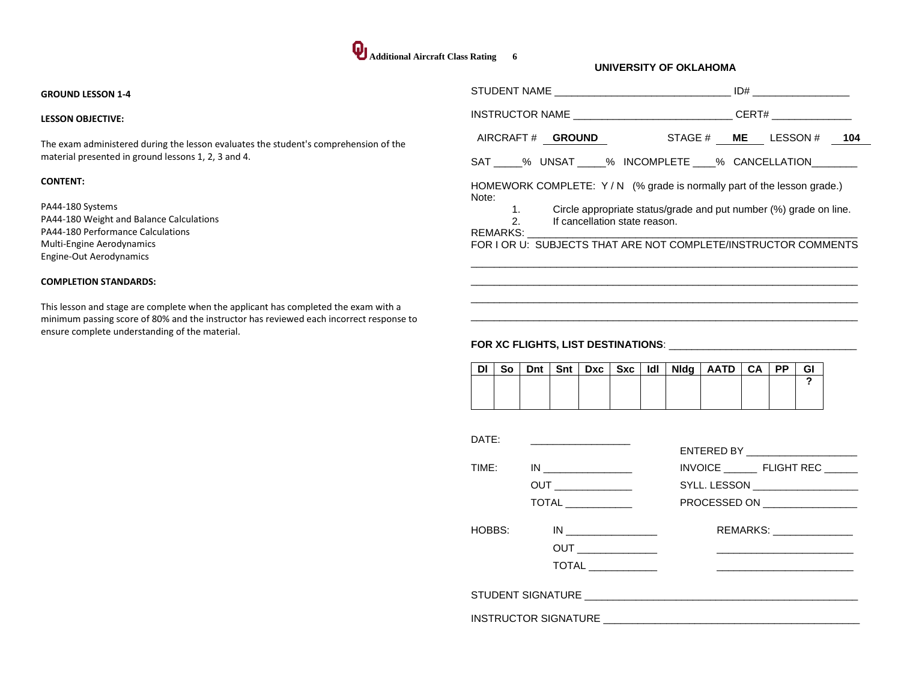#### **GROUND LESSON 1-4**

#### **LESSON OBJECTIVE:**

The exam administered during the lesson evaluates the student's comprehension of the material presented in ground lessons 1, 2, 3 and 4.

#### **CONTENT:**

PA44-180 Systems PA44-180 Weight and Balance Calculations PA44-180 Performance Calculations Multi-Engine Aerodynamics Engine-Out Aerodynamics

#### **COMPLETION STANDARDS:**

This lesson and stage are complete when the applicant has completed the exam with a minimum passing score of 80% and the instructor has reviewed each incorrect response to ensure complete understanding of the material.

|       |                                                                                                          |  | ID# |  |
|-------|----------------------------------------------------------------------------------------------------------|--|-----|--|
|       | INSTRUCTOR NAME ________________________________CERT# __________________________                         |  |     |  |
|       | AIRCRAFT# GROUND STAGE # ME LESSON # 104                                                                 |  |     |  |
|       | SAT _____% UNSAT _____% INCOMPLETE ____% CANCELLATION _______                                            |  |     |  |
| Note: | HOMEWORK COMPLETE: Y/N (% grade is normally part of the lesson grade.)                                   |  |     |  |
|       | 1. Circle appropriate status/grade and put number (%) grade on line.<br>2. If cancellation state reason. |  |     |  |
|       | FOR I OR U: SUBJECTS THAT ARE NOT COMPLETE/INSTRUCTOR COMMENTS                                           |  |     |  |
|       |                                                                                                          |  |     |  |
|       |                                                                                                          |  |     |  |
|       |                                                                                                          |  |     |  |

|  |  |  |  | So   Dnt   Snt   Dxc   Sxc   Idl   Nidg   AATD   CA   PP |  | GΙ |
|--|--|--|--|----------------------------------------------------------|--|----|
|  |  |  |  |                                                          |  |    |
|  |  |  |  |                                                          |  |    |
|  |  |  |  |                                                          |  |    |

| DATE:  |                            |                                    |
|--------|----------------------------|------------------------------------|
|        |                            | ENTERED BY _______________________ |
| TIME:  |                            |                                    |
|        |                            | SYLL. LESSON ____________________  |
|        | <b>TOTAL</b> _____________ | PROCESSED ON ________________      |
| HOBBS: |                            | REMARKS: _______________           |
|        |                            |                                    |
|        |                            |                                    |
|        |                            |                                    |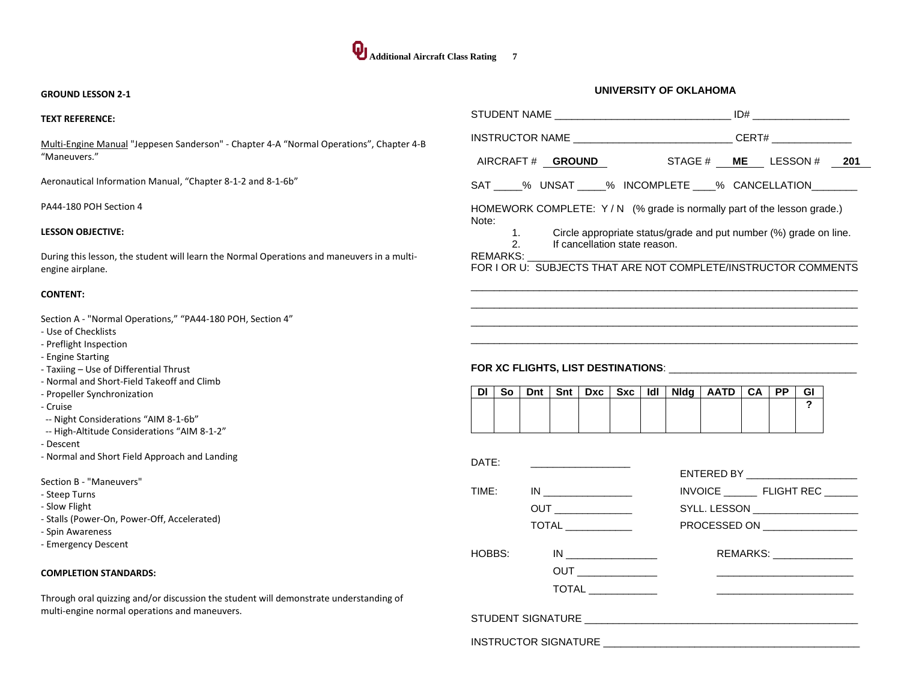#### **GROUND LESSON 2-1**

| <b>TEXT REFERENCE:</b>                                                                                                                                                                                                                                                                                                                                                                                                                                                                                                                                                          |                                                                                                                                                                                                                                                                                                                                                                                                                                                                                      |
|---------------------------------------------------------------------------------------------------------------------------------------------------------------------------------------------------------------------------------------------------------------------------------------------------------------------------------------------------------------------------------------------------------------------------------------------------------------------------------------------------------------------------------------------------------------------------------|--------------------------------------------------------------------------------------------------------------------------------------------------------------------------------------------------------------------------------------------------------------------------------------------------------------------------------------------------------------------------------------------------------------------------------------------------------------------------------------|
| Multi-Engine Manual "Jeppesen Sanderson" - Chapter 4-A "Normal Operations", Chapter 4-B                                                                                                                                                                                                                                                                                                                                                                                                                                                                                         | INSTRUCTOR NAME _________________________________CERT# _________________________                                                                                                                                                                                                                                                                                                                                                                                                     |
| "Maneuvers."                                                                                                                                                                                                                                                                                                                                                                                                                                                                                                                                                                    | AIRCRAFT# GROUND STAGE # ME LESSON # 201                                                                                                                                                                                                                                                                                                                                                                                                                                             |
| Aeronautical Information Manual, "Chapter 8-1-2 and 8-1-6b"                                                                                                                                                                                                                                                                                                                                                                                                                                                                                                                     | SAT _____% UNSAT _____% INCOMPLETE ____% CANCELLATION_________                                                                                                                                                                                                                                                                                                                                                                                                                       |
| PA44-180 POH Section 4                                                                                                                                                                                                                                                                                                                                                                                                                                                                                                                                                          | HOMEWORK COMPLETE: Y/N (% grade is normally part of the lesson grade.)<br>Note:                                                                                                                                                                                                                                                                                                                                                                                                      |
| <b>LESSON OBJECTIVE:</b>                                                                                                                                                                                                                                                                                                                                                                                                                                                                                                                                                        | Circle appropriate status/grade and put number (%) grade on line.<br>$\mathbf{1}$ .<br>2.<br>If cancellation state reason.                                                                                                                                                                                                                                                                                                                                                           |
| During this lesson, the student will learn the Normal Operations and maneuvers in a multi-<br>engine airplane.                                                                                                                                                                                                                                                                                                                                                                                                                                                                  | REMARKS:<br>FOR I OR U: SUBJECTS THAT ARE NOT COMPLETE/INSTRUCTOR COMMENTS                                                                                                                                                                                                                                                                                                                                                                                                           |
| <b>CONTENT:</b>                                                                                                                                                                                                                                                                                                                                                                                                                                                                                                                                                                 |                                                                                                                                                                                                                                                                                                                                                                                                                                                                                      |
| Section A - "Normal Operations," "PA44-180 POH, Section 4"<br>- Use of Checklists<br>- Preflight Inspection<br>- Engine Starting<br>- Taxiing - Use of Differential Thrust<br>- Normal and Short-Field Takeoff and Climb<br>- Propeller Synchronization<br>- Cruise<br>-- Night Considerations "AIM 8-1-6b"<br>-- High-Altitude Considerations "AIM 8-1-2"<br>- Descent<br>- Normal and Short Field Approach and Landing<br>Section B - "Maneuvers"<br>- Steep Turns<br>- Slow Flight<br>- Stalls (Power-On, Power-Off, Accelerated)<br>- Spin Awareness<br>- Emergency Descent | Dnt   Snt   Dxc   Sxc   Idl  <br>So<br>Nidg   AATD  <br><b>PP</b><br>DI I<br>CA I<br>GI<br>$\mathbf{?}$<br>DATE:<br>ENTERED BY NATIONAL PROPERTY AND RESIDENCE.<br>INVOICE ___________ FLIGHT REC _______<br>TIME:<br>SYLL. LESSON __________________<br>PROCESSED ON <b>Example 20</b><br>REMARKS: Network<br>HOBBS:                                                                                                                                                                |
| <b>COMPLETION STANDARDS:</b>                                                                                                                                                                                                                                                                                                                                                                                                                                                                                                                                                    |                                                                                                                                                                                                                                                                                                                                                                                                                                                                                      |
| Through oral quizzing and/or discussion the student will demonstrate understanding of<br>multi-engine normal operations and maneuvers.                                                                                                                                                                                                                                                                                                                                                                                                                                          | $\begin{picture}(20,20) \put(0,0){\dashbox{0.5}(5,0){ }} \thicklines \put(0,0){\dashbox{0.5}(5,0){ }} \thicklines \put(0,0){\dashbox{0.5}(5,0){ }} \thicklines \put(0,0){\dashbox{0.5}(5,0){ }} \thicklines \put(0,0){\dashbox{0.5}(5,0){ }} \thicklines \put(0,0){\dashbox{0.5}(5,0){ }} \thicklines \put(0,0){\dashbox{0.5}(5,0){ }} \thicklines \put(0,0){\dashbox{0.5}(5,0){ }} \thicklines \put(0,0){\dashbox{0.5}(5,$<br><u> 1980 - An Aonaichte ann an Catharan ann an t-</u> |
|                                                                                                                                                                                                                                                                                                                                                                                                                                                                                                                                                                                 |                                                                                                                                                                                                                                                                                                                                                                                                                                                                                      |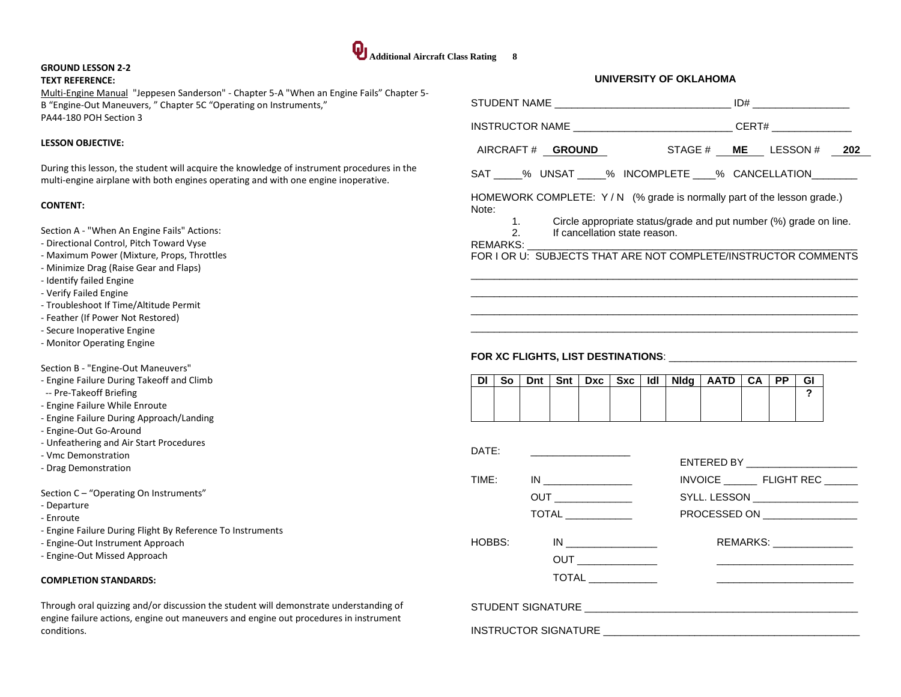## **Additional Aircraft Class Rating 8**

## **GROUND LESSON 2-2**

### **TEXT REFERENCE:**

Multi-Engine Manual "Jeppesen Sanderson" - Chapter 5-A "When an Engine Fails" Chapter 5- B "Engine-Out Maneuvers, " Chapter 5C "Operating on Instruments," PA44-180 POH Section 3

#### **LESSON OBJECTIVE:**

During this lesson, the student will acquire the knowledge of instrument procedures in the multi-engine airplane with both engines operating and with one engine inoperative.

#### **CONTENT:**

Section A - "When An Engine Fails" Actions:

- Directional Control, Pitch Toward Vyse
- Maximum Power (Mixture, Props, Throttles
- Minimize Drag (Raise Gear and Flaps)
- Identify failed Engine
- Verify Failed Engine
- Troubleshoot If Time/Altitude Permit
- Feather (If Power Not Restored)
- Secure Inoperative Engine
- Monitor Operating Engine

#### Section B - "Engine-Out Maneuvers"

- Engine Failure During Takeoff and Climb
- -- Pre-Takeoff Briefing
- Engine Failure While Enroute
- Engine Failure During Approach/Landing
- Engine-Out Go-Around
- Unfeathering and Air Start Procedures
- Vmc Demonstration
- Drag Demonstration

Section C – "Operating On Instruments"

- Departure
- Enroute
- Engine Failure During Flight By Reference To Instruments
- Engine-Out Instrument Approach
- Engine-Out Missed Approach

#### **COMPLETION STANDARDS:**

Through oral quizzing and/or discussion the student will demonstrate understanding of engine failure actions, engine out maneuvers and engine out procedures in instrument conditions.

| INSTRUCTOR NAME _________________________________CERT# _________________________ |                                                                                                          |     |       |      |      |           |           |         |  |
|----------------------------------------------------------------------------------|----------------------------------------------------------------------------------------------------------|-----|-------|------|------|-----------|-----------|---------|--|
| AIRCRAFT# GROUND STAGE# ME LESSON # 202                                          |                                                                                                          |     |       |      |      |           |           |         |  |
| SAT _____% UNSAT _____% INCOMPLETE ____% CANCELLATION________                    |                                                                                                          |     |       |      |      |           |           |         |  |
| HOMEWORK COMPLETE: Y/N (% grade is normally part of the lesson grade.)<br>Note:  |                                                                                                          |     |       |      |      |           |           |         |  |
|                                                                                  | 1. Circle appropriate status/grade and put number (%) grade on line.<br>2. If cancellation state reason. |     |       |      |      |           |           |         |  |
| FOR I OR U: SUBJECTS THAT ARE NOT COMPLETE/INSTRUCTOR COMMENTS                   |                                                                                                          |     |       |      |      |           |           |         |  |
|                                                                                  |                                                                                                          |     |       |      |      |           |           |         |  |
|                                                                                  |                                                                                                          |     |       |      |      |           |           |         |  |
|                                                                                  |                                                                                                          |     |       |      |      |           |           |         |  |
| So<br><b>DI</b><br>Dnt                                                           | Snt<br>Dxc                                                                                               | Sxc | ldl I | Nidg | AATD | <b>CA</b> | <b>PP</b> | GI<br>2 |  |
|                                                                                  |                                                                                                          |     |       |      |      |           |           |         |  |
| DATE:                                                                            |                                                                                                          |     |       |      |      |           |           |         |  |

|        |                                | ENTERED BY ______________________                                                       |
|--------|--------------------------------|-----------------------------------------------------------------------------------------|
|        | TIME: IN _________________     | INVOICE FLIGHT REC                                                                      |
|        |                                | SYLL. LESSON ___________________                                                        |
|        | <b>TOTAL</b> _____________     | PROCESSED ON _________________                                                          |
| HOBBS: | $\overline{ \text{TOTAL} } \_$ | REMARKS: ________________<br><u> 1980 - John Stone, Amerikaansk politiker (</u> † 1920) |
|        |                                |                                                                                         |
|        |                                |                                                                                         |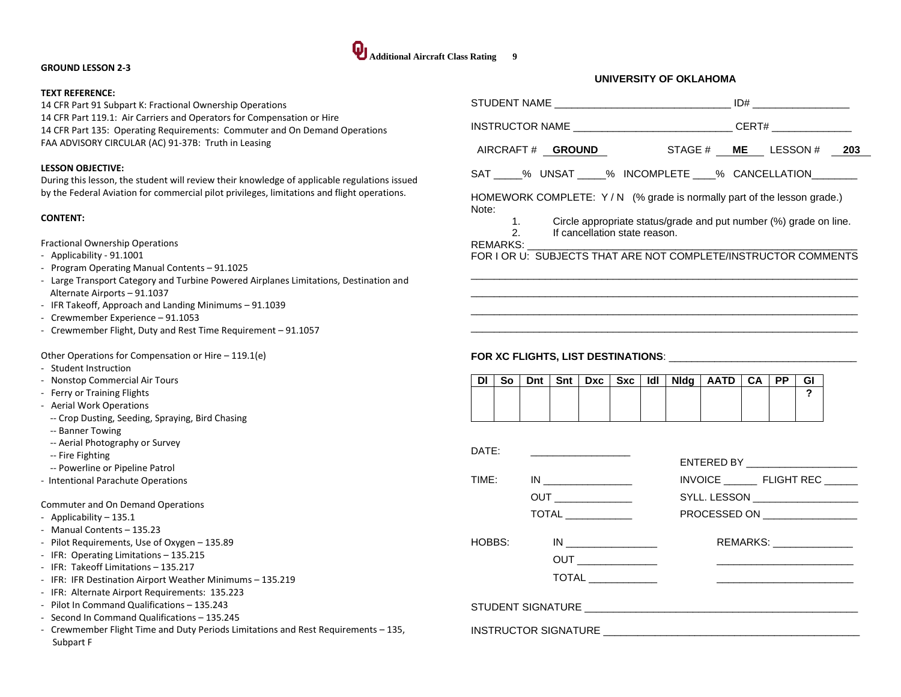#### **GROUND LESSON 2-3**

#### **TEXT REFERENCE:**

14 CFR Part 91 Subpart K: Fractional Ownership Operations 14 CFR Part 119.1: Air Carriers and Operators for Compensation or Hire 14 CFR Part 135: Operating Requirements: Commuter and On Demand Operations FAA ADVISORY CIRCULAR (AC) 91-37B: Truth in Leasing

#### **LESSON OBJECTIVE:**

During this lesson, the student will review their knowledge of applicable regulations issued by the Federal Aviation for commercial pilot privileges, limitations and flight operations.

#### **CONTENT:**

Fractional Ownership Operations

- Applicability 91.1001
- Program Operating Manual Contents 91.1025
- Large Transport Category and Turbine Powered Airplanes Limitations, Destination and Alternate Airports – 91.1037
- IFR Takeoff, Approach and Landing Minimums 91.1039
- Crewmember Experience 91.1053
- Crewmember Flight, Duty and Rest Time Requirement 91.1057

Other Operations for Compensation or Hire – 119.1(e)

- Student Instruction
- Nonstop Commercial Air Tours
- Ferry or Training Flights
- Aerial Work Operations
	- -- Crop Dusting, Seeding, Spraying, Bird Chasing
	- -- Banner Towing
	- -- Aerial Photography or Survey
	- -- Fire Fighting
	- -- Powerline or Pipeline Patrol
- Intentional Parachute Operations

Commuter and On Demand Operations

- Applicability 135.1
- Manual Contents 135.23
- Pilot Requirements, Use of Oxygen 135.89
- IFR: Operating Limitations 135.215
- IFR: Takeoff Limitations 135.217
- IFR: IFR Destination Airport Weather Minimums 135.219
- IFR: Alternate Airport Requirements: 135.223
- Pilot In Command Qualifications 135.243
- Second In Command Qualifications 135.245
- Crewmember Flight Time and Duty Periods Limitations and Rest Requirements 135, Subpart F

|       |               |          |     |                               |     |       | INSTRUCTOR NAME ________________________________CERT# __________________________                                                                                                                                 |      |      |    |  |
|-------|---------------|----------|-----|-------------------------------|-----|-------|------------------------------------------------------------------------------------------------------------------------------------------------------------------------------------------------------------------|------|------|----|--|
|       |               |          |     |                               |     |       | AIRCRAFT # GROUND STAGE # ME LESSON # 203                                                                                                                                                                        |      |      |    |  |
|       |               |          |     |                               |     |       | SAT _____% UNSAT _____% INCOMPLETE ____% CANCELLATION________                                                                                                                                                    |      |      |    |  |
| Note: | $\mathcal{P}$ | REMARKS: |     | If cancellation state reason. |     |       | HOMEWORK COMPLETE: Y/N (% grade is normally part of the lesson grade.)<br>1. Circle appropriate status/grade and put number (%) grade on line.<br>FOR I OR U: SUBJECTS THAT ARE NOT COMPLETE/INSTRUCTOR COMMENTS |      |      |    |  |
| DΙ    | So            | Dnt      | Snt | Dxc                           | Sxc | ldl l | $N \, dq \mid \text{AATD} \mid$                                                                                                                                                                                  | CA I | PP I | GI |  |
|       |               |          |     |                               |     |       |                                                                                                                                                                                                                  |      |      | 2  |  |
|       |               |          |     |                               |     |       |                                                                                                                                                                                                                  |      |      |    |  |
| DATE: |               |          |     |                               |     |       | ENTERED BY NATIONAL PROPERTY                                                                                                                                                                                     |      |      |    |  |
| TIME: |               | IN       |     |                               |     |       | INVOICE __________ FLIGHT REC_                                                                                                                                                                                   |      |      |    |  |

HOBBS: IN \_\_\_\_\_\_\_\_\_\_\_\_\_\_\_\_\_\_\_\_\_ REMARKS: \_\_\_\_\_\_\_\_\_\_\_\_\_

OUT \_\_\_\_\_\_\_\_\_\_\_\_\_\_ \_\_\_\_\_\_\_\_\_\_\_\_\_\_\_\_\_\_\_\_\_\_\_\_ TOTAL \_\_\_\_\_\_\_\_\_\_\_\_ \_\_\_\_\_\_\_\_\_\_\_\_\_\_\_\_\_\_\_\_\_\_\_\_

OUT \_\_\_\_\_\_\_\_\_\_\_\_\_\_ SYLL. LESSON \_\_\_\_\_\_\_\_\_\_\_\_\_\_\_\_\_\_\_ TOTAL \_\_\_\_\_\_\_\_\_\_\_\_ PROCESSED ON \_\_\_\_\_\_\_\_\_\_\_\_\_\_\_\_\_

**UNIVERSITY OF OKLAHOMA**

| STUDENT SIGNATURE |  |
|-------------------|--|

**Additional Aircraft Class Rating 9** 

## INSTRUCTOR SIGNATURE \_\_\_\_\_\_\_\_\_\_\_\_\_\_\_\_\_\_\_\_\_\_\_\_\_\_\_\_\_\_\_\_\_\_\_\_\_\_\_\_\_\_\_\_\_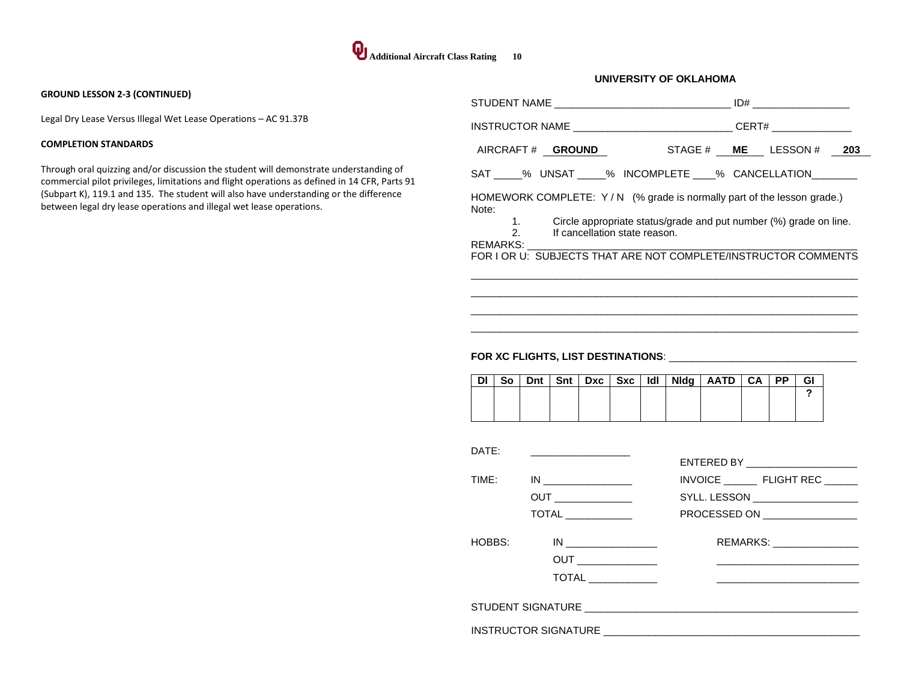#### **GROUND LESSON 2-3 (CONTINUED)**

Legal Dry Lease Versus Illegal Wet Lease Operations – AC 91.37B

#### **COMPLETION STANDARDS**

Through oral quizzing and/or discussion the student will demonstrate understanding of commercial pilot privileges, limitations and flight operations as defined in 14 CFR, Parts 91 (Subpart K), 119.1 and 135. The student will also have understanding or the difference between legal dry lease operations and illegal wet lease operations.

|                                                                                                                         | CERT# ______________ |  |  |  |  |
|-------------------------------------------------------------------------------------------------------------------------|----------------------|--|--|--|--|
| AIRCRAFT# GROUND STAGE # ME LESSON # 203                                                                                |                      |  |  |  |  |
| SAT _____% UNSAT _____% INCOMPLETE ____% CANCELLATION ________                                                          |                      |  |  |  |  |
| HOMEWORK COMPLETE: $Y/N$ (% grade is normally part of the lesson grade.)<br>Note:                                       |                      |  |  |  |  |
| 1. Circle appropriate status/grade and put number (%) grade on line.<br>2 <sup>1</sup><br>If cancellation state reason. |                      |  |  |  |  |
| REMARKS:<br>FOR I OR U: SUBJECTS THAT ARE NOT COMPLETE/INSTRUCTOR COMMENTS                                              |                      |  |  |  |  |
|                                                                                                                         |                      |  |  |  |  |

 $\overline{a}$  , and the set of the set of the set of the set of the set of the set of the set of the set of the set of the set of the set of the set of the set of the set of the set of the set of the set of the set of the set  $\overline{\phantom{a}}$  , and the contribution of the contribution of the contribution of the contribution of the contribution of the contribution of the contribution of the contribution of the contribution of the contribution of the

**UNIVERSITY OF OKLAHOMA**

| <b>DI</b> | So <sub>1</sub> |  |  |  | Dnt   Snt   Dxc   Sxc   Idl   Nidg   AATD   CA   PP |  | GI |
|-----------|-----------------|--|--|--|-----------------------------------------------------|--|----|
|           |                 |  |  |  |                                                     |  |    |
|           |                 |  |  |  |                                                     |  |    |
|           |                 |  |  |  |                                                     |  |    |

| DATF:  |                                                            | ENTERED BY ______________________                                                                             |
|--------|------------------------------------------------------------|---------------------------------------------------------------------------------------------------------------|
| TIME:  | IN                                                         | INVOICE ___________ FLIGHT REC _______                                                                        |
|        | <b>OUT</b> ________________                                | SYLL. LESSON ____________________                                                                             |
|        | $\overline{ \text{TOTAL} } \_\_\_\_\_\_\_\_\_\_\_\_\_\_\_$ | PROCESSED ON __________________                                                                               |
| HOBBS: | IN                                                         | REMARKS: _________________<br>the contract of the contract of the contract of the contract of the contract of |
|        |                                                            |                                                                                                               |
|        |                                                            |                                                                                                               |
|        |                                                            |                                                                                                               |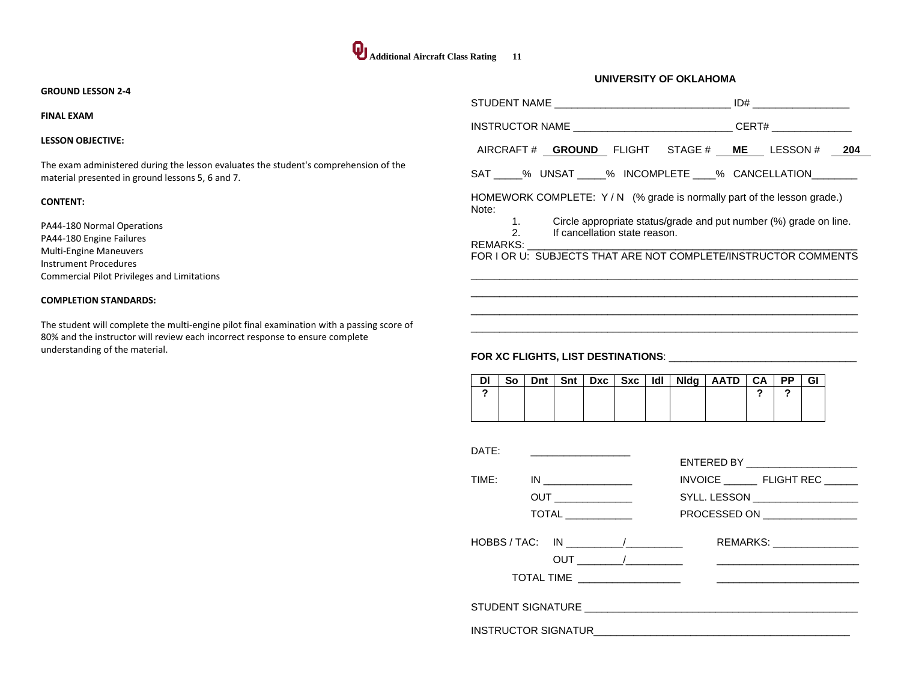#### **GROUND LESSON 2-4**

#### **FINAL EXAM**

#### **LESSON OBJECTIVE:**

The exam administered during the lesson evaluates the student's comprehension of the material presented in ground lessons 5, 6 and 7.

#### **CONTENT:**

PA44-180 Normal Operations PA44-180 Engine Failures Multi-Engine Maneuvers Instrument Procedures Commercial Pilot Privileges and Limitations

#### **COMPLETION STANDARDS:**

The student will complete the multi-engine pilot final examination with a passing score of 80% and the instructor will review each incorrect response to ensure complete understanding of the material.

| STUDENT NAME THE RESIDENCE ID AND THE RESIDENCE ID AND THE RESIDENCE ID AND THE RESIDENCE ID AND THE RESIDENCE                                                                                                                |                                                                      |
|-------------------------------------------------------------------------------------------------------------------------------------------------------------------------------------------------------------------------------|----------------------------------------------------------------------|
| INSTRUCTOR NAME __________________________________CERT# _________________                                                                                                                                                     |                                                                      |
|                                                                                                                                                                                                                               | AIRCRAFT# GROUND FLIGHT STAGE# ME LESSON# 204                        |
| SAT % UNSAT % INCOMPLETE % CANCELLATION                                                                                                                                                                                       |                                                                      |
| HOMEWORK COMPLETE: $Y/N$ (% grade is normally part of the lesson grade.)<br>Note:                                                                                                                                             |                                                                      |
| $\overline{2}$ $\overline{2}$<br>If cancellation state reason.                                                                                                                                                                | 1. Circle appropriate status/grade and put number (%) grade on line. |
| REMARKS: Example 2004 and the contract of the contract of the contract of the contract of the contract of the contract of the contract of the contract of the contract of the contract of the contract of the contract of the | FOR I OR U: SUBJECTS THAT ARE NOT COMPLETE/INSTRUCTOR COMMENTS       |
|                                                                                                                                                                                                                               |                                                                      |
|                                                                                                                                                                                                                               |                                                                      |

 $\overline{a}$  , and the set of the set of the set of the set of the set of the set of the set of the set of the set of the set of the set of the set of the set of the set of the set of the set of the set of the set of the set  $\overline{a}$  , and the set of the set of the set of the set of the set of the set of the set of the set of the set of the set of the set of the set of the set of the set of the set of the set of the set of the set of the set

**UNIVERSITY OF OKLAHOMA**

| <b>DI</b> |  |  |  | So   Dnt   Snt   Dxc   Sxc   Idl   Nidg   AATD   CA   PP |  | GI |
|-----------|--|--|--|----------------------------------------------------------|--|----|
|           |  |  |  |                                                          |  |    |
|           |  |  |  |                                                          |  |    |
|           |  |  |  |                                                          |  |    |

| DATF:                                              | ENTERED BY _______________________ |
|----------------------------------------------------|------------------------------------|
| TIME:<br>IN                                        | INVOICE FLIGHT REC                 |
|                                                    | SYLL. LESSON ___________________   |
| $\overline{ \text{TOTAL} } \_$                     | PROCESSED ON __________________    |
| HOBBS / TAC: IN<br>TOTAL TIME ____________________ | REMARKS: ________________          |
|                                                    |                                    |
| INSTRUCTOR SIGNATUR                                |                                    |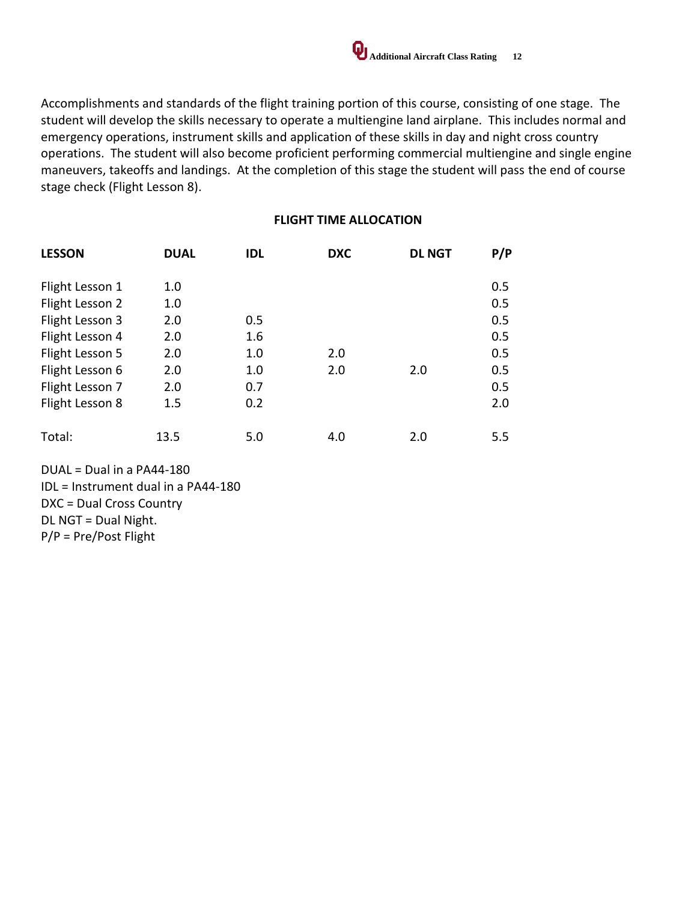

Accomplishments and standards of the flight training portion of this course, consisting of one stage. The student will develop the skills necessary to operate a multiengine land airplane. This includes normal and emergency operations, instrument skills and application of these skills in day and night cross country operations. The student will also become proficient performing commercial multiengine and single engine maneuvers, takeoffs and landings. At the completion of this stage the student will pass the end of course stage check (Flight Lesson 8).

## **FLIGHT TIME ALLOCATION**

| <b>LESSON</b>   | <b>DUAL</b> | <b>IDL</b> | <b>DXC</b> | <b>DL NGT</b> | P/P |
|-----------------|-------------|------------|------------|---------------|-----|
|                 |             |            |            |               |     |
| Flight Lesson 1 | 1.0         |            |            |               | 0.5 |
| Flight Lesson 2 | 1.0         |            |            |               | 0.5 |
| Flight Lesson 3 | 2.0         | $0.5\,$    |            |               | 0.5 |
| Flight Lesson 4 | 2.0         | 1.6        |            |               | 0.5 |
| Flight Lesson 5 | 2.0         | 1.0        | 2.0        |               | 0.5 |
| Flight Lesson 6 | 2.0         | 1.0        | 2.0        | 2.0           | 0.5 |
| Flight Lesson 7 | 2.0         | 0.7        |            |               | 0.5 |
| Flight Lesson 8 | 1.5         | 0.2        |            |               | 2.0 |
|                 |             |            |            |               |     |
| Total:          | 13.5        | 5.0        | 4.0        | 2.0           | 5.5 |

DUAL = Dual in a PA44-180 IDL = Instrument dual in a PA44-180 DXC = Dual Cross Country DL NGT = Dual Night. P/P = Pre/Post Flight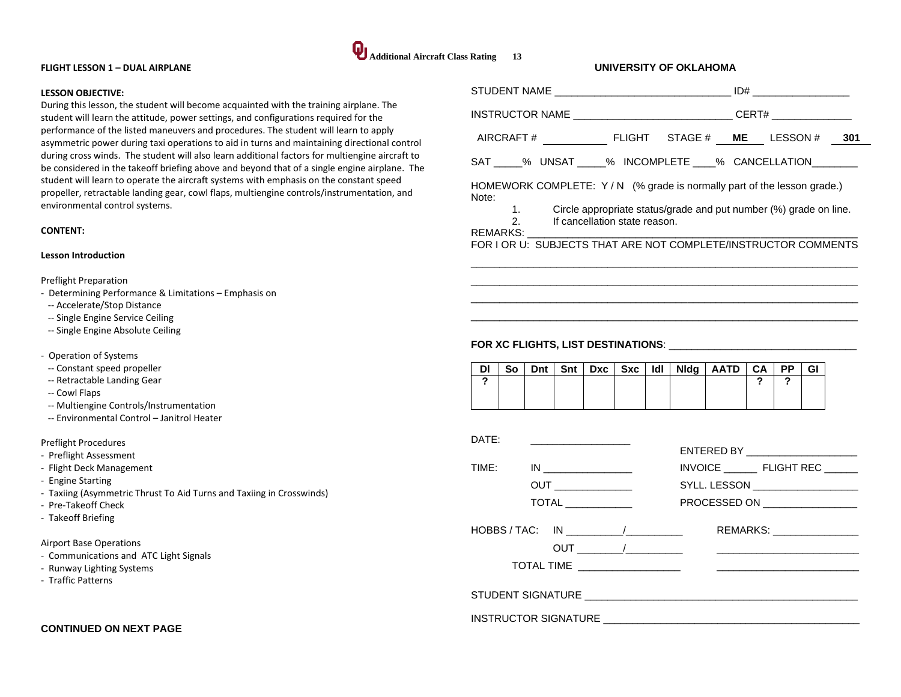#### **FLIGHT LESSON 1 – DUAL AIRPLANE**

#### **LESSON OBJECTIVE:**

During this lesson, the student will become acquainted with the training airplane. The student will learn the attitude, power settings, and configurations required for the performance of the listed maneuvers and procedures. The student will learn to apply asymmetric power during taxi operations to aid in turns and maintaining directional control during cross winds. The student will also learn additional factors for multiengine aircraft to be considered in the takeoff briefing above and beyond that of a single engine airplane. The student will learn to operate the aircraft systems with emphasis on the constant speed propeller, retractable landing gear, cowl flaps, multiengine controls/instrumentation, and environmental control systems.

#### **CONTENT:**

#### **Lesson Introduction**

Preflight Preparation

- Determining Performance & Limitations Emphasis on
- -- Accelerate/Stop Distance
- -- Single Engine Service Ceiling
- -- Single Engine Absolute Ceiling
- Operation of Systems
- -- Constant speed propeller
- -- Retractable Landing Gear
- -- Cowl Flaps
- -- Multiengine Controls/Instrumentation
- -- Environmental Control Janitrol Heater

#### Preflight Procedures

- Preflight Assessment
- Flight Deck Management
- Engine Starting
- Taxiing (Asymmetric Thrust To Aid Turns and Taxiing in Crosswinds)
- Pre-Takeoff Check
- Takeoff Briefing

#### Airport Base Operations

- Communications and ATC Light Signals
- Runway Lighting Systems
- Traffic Patterns

## **CONTINUED ON NEXT PAGE**

|                    |          |     |     |                                              |     |     | UNIVERSITY OF OKLAHOMA                                  |                                                                                  |                    |           |    |  |
|--------------------|----------|-----|-----|----------------------------------------------|-----|-----|---------------------------------------------------------|----------------------------------------------------------------------------------|--------------------|-----------|----|--|
|                    |          |     |     |                                              |     |     |                                                         |                                                                                  |                    |           |    |  |
|                    |          |     |     |                                              |     |     |                                                         | INSTRUCTOR NAME ___________________________________CERT# _______________________ |                    |           |    |  |
|                    |          |     |     |                                              |     |     |                                                         |                                                                                  |                    |           |    |  |
|                    |          |     |     |                                              |     |     |                                                         | SAT ____% UNSAT ____% INCOMPLETE ____% CANCELLATION                              |                    |           |    |  |
| Note:              |          |     |     |                                              |     |     |                                                         | HOMEWORK COMPLETE: Y/N (% grade is normally part of the lesson grade.)           |                    |           |    |  |
| REMARKS: __        | 1.<br>2. |     |     | If cancellation state reason.                |     |     |                                                         | Circle appropriate status/grade and put number (%) grade on line.                |                    |           |    |  |
|                    |          |     |     |                                              |     |     |                                                         | FOR LOR U: SUBJECTS THAT ARE NOT COMPLETE/INSTRUCTOR COMMENTS                    |                    |           |    |  |
|                    |          |     |     |                                              |     |     |                                                         |                                                                                  |                    |           |    |  |
|                    |          |     |     |                                              |     |     |                                                         |                                                                                  |                    |           |    |  |
|                    |          |     |     |                                              |     |     |                                                         |                                                                                  |                    |           |    |  |
|                    |          |     |     |                                              |     |     |                                                         |                                                                                  |                    |           |    |  |
|                    |          |     |     |                                              |     |     |                                                         |                                                                                  |                    |           |    |  |
| DI                 | So       | Dnt | Snt | <b>Dxc</b>                                   | Sxc | ldl |                                                         | $N \,$ ldg   AATD                                                                | <b>CA</b>          | <b>PP</b> | GI |  |
| $\mathbf{\hat{z}}$ |          |     |     |                                              |     |     |                                                         |                                                                                  | $\mathbf{\hat{z}}$ | 2         |    |  |
|                    |          |     |     |                                              |     |     |                                                         |                                                                                  |                    |           |    |  |
|                    |          |     |     |                                              |     |     |                                                         |                                                                                  |                    |           |    |  |
| DATE:              |          |     |     |                                              |     |     |                                                         |                                                                                  |                    |           |    |  |
|                    |          |     |     |                                              |     |     |                                                         | ENTERED BY NATIONAL PROPERTY                                                     |                    |           |    |  |
| TIME:              |          |     |     | IN                                           |     |     | INVOICE FLIGHT REC<br>SYLL. LESSON ____________________ |                                                                                  |                    |           |    |  |
|                    |          |     |     | <b>OUT</b><br>$\overline{ \text{TOTAL} } \_$ |     |     |                                                         | PROCESSED ON _________________                                                   |                    |           |    |  |
|                    |          |     |     |                                              |     |     |                                                         |                                                                                  |                    |           |    |  |

| HOBBS / TAC: IN   |     | REMARKS: <b>Example</b> |
|-------------------|-----|-------------------------|
|                   | OUT |                         |
| <b>TOTAL TIME</b> |     |                         |
|                   |     |                         |
| STUDENT SIGNATURE |     |                         |

INSTRUCTOR SIGNATURE \_\_\_\_\_\_\_\_\_\_\_\_\_\_\_\_\_\_\_\_\_\_\_\_\_\_\_\_\_\_\_\_\_\_\_\_\_\_\_\_\_\_\_\_\_

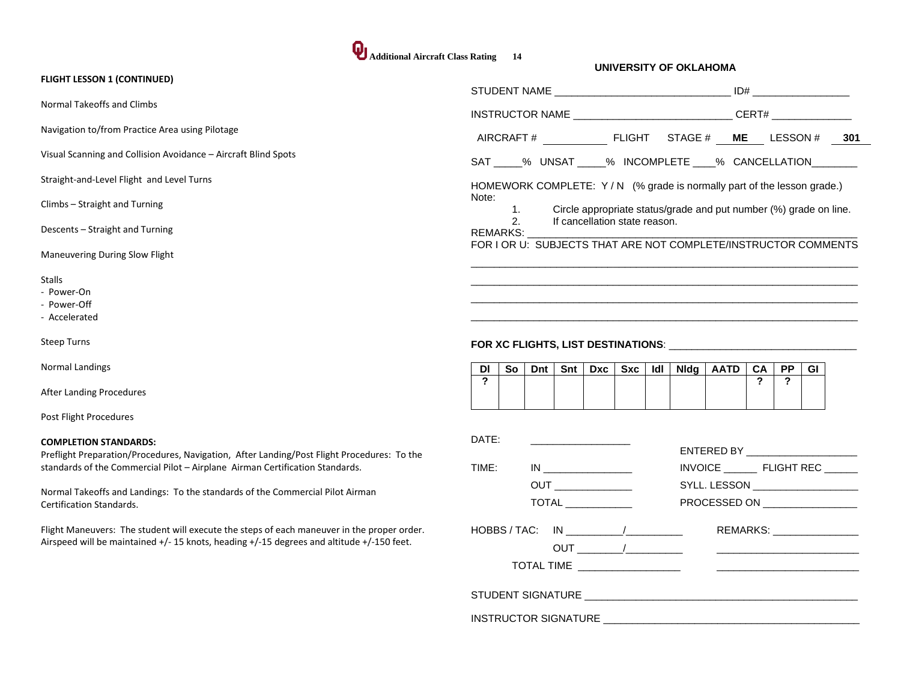# **Additional Aircraft Class Rating 14**

| <b>FLIGHT LESSON 1 (CONTINUED)</b>                                                                                                                                                                                                                                                                                             |                                                                                                                                                      |
|--------------------------------------------------------------------------------------------------------------------------------------------------------------------------------------------------------------------------------------------------------------------------------------------------------------------------------|------------------------------------------------------------------------------------------------------------------------------------------------------|
| Normal Takeoffs and Climbs                                                                                                                                                                                                                                                                                                     | INSTRUCTOR NAME _________________________________CERT# _________________________                                                                     |
| Navigation to/from Practice Area using Pilotage                                                                                                                                                                                                                                                                                | AIRCRAFT# FLIGHT STAGE # ME LESSON # 301                                                                                                             |
| Visual Scanning and Collision Avoidance - Aircraft Blind Spots                                                                                                                                                                                                                                                                 | SAT ____% UNSAT _____% INCOMPLETE ____% CANCELLATION _______                                                                                         |
| Straight-and-Level Flight and Level Turns                                                                                                                                                                                                                                                                                      | HOMEWORK COMPLETE: Y/N (% grade is normally part of the lesson grade.)                                                                               |
| Climbs - Straight and Turning                                                                                                                                                                                                                                                                                                  | Note:<br>Circle appropriate status/grade and put number (%) grade on line.<br>$\mathbf{1}$ .                                                         |
| Descents - Straight and Turning                                                                                                                                                                                                                                                                                                | 2.<br>If cancellation state reason.<br>REMARKS:                                                                                                      |
| Maneuvering During Slow Flight                                                                                                                                                                                                                                                                                                 | FOR I OR U: SUBJECTS THAT ARE NOT COMPLETE/INSTRUCTOR COMMENTS                                                                                       |
| <b>Stalls</b><br>- Power-On<br>- Power-Off<br>- Accelerated                                                                                                                                                                                                                                                                    |                                                                                                                                                      |
| <b>Steep Turns</b>                                                                                                                                                                                                                                                                                                             |                                                                                                                                                      |
| Normal Landings                                                                                                                                                                                                                                                                                                                | Dnt<br>Sxc   Idl   Nidg   AATD  <br>$-CA$<br><b>PP</b><br><b>GI</b><br>Snt l<br>Dxc<br>DI.<br>So                                                     |
| After Landing Procedures                                                                                                                                                                                                                                                                                                       | $\mathbf{r}$<br>$\overline{?}$<br>$\overline{?}$                                                                                                     |
| Post Flight Procedures                                                                                                                                                                                                                                                                                                         |                                                                                                                                                      |
| <b>COMPLETION STANDARDS:</b><br>Preflight Preparation/Procedures, Navigation, After Landing/Post Flight Procedures: To the<br>standards of the Commercial Pilot - Airplane Airman Certification Standards.<br>Normal Takeoffs and Landings: To the standards of the Commercial Pilot Airman<br><b>Certification Standards.</b> | DATE:<br>INVOICE ___________ FLIGHT REC ________<br>TIME:<br><b>OUT</b><br>SYLL. LESSON __________________<br>TOTAL<br>PROCESSED ON ________________ |
| Flight Maneuvers: The student will execute the steps of each maneuver in the proper order.<br>Airspeed will be maintained +/- 15 knots, heading +/-15 degrees and altitude +/-150 feet.                                                                                                                                        | $HOBBS / TAC: IN 1 1 1 1 1 1 1 1 1 1 1 1 1 1 1 1 1 1 1 1 1 1 1 1 1 1 1 1 1 1 <$<br>REMARKS: _______________<br>TOTAL TIME __________________         |
|                                                                                                                                                                                                                                                                                                                                |                                                                                                                                                      |
|                                                                                                                                                                                                                                                                                                                                | INSTRUCTOR SIGNATURE                                                                                                                                 |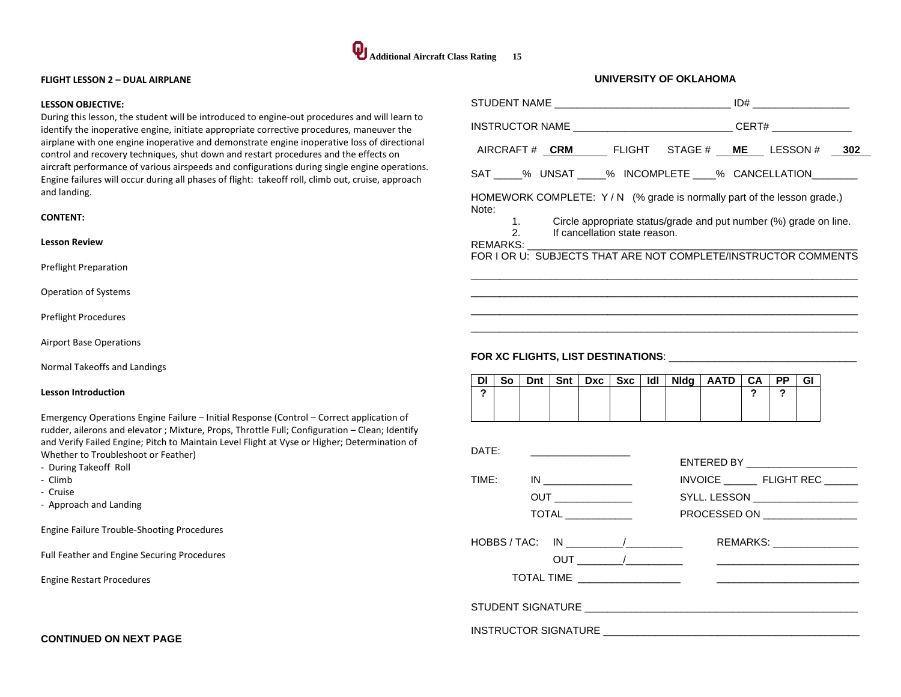

#### **FLIGHT LESSON 2 – DUAL AIRPLANE**

#### **LESSON OBJECTIVE:**

During this lesson, the student will be introduced to engine-out procedures and will learn to identify the inoperative engine, initiate appropriate corrective procedures, maneuver the airplane with one engine inoperative and demonstrate engine inoperative loss of directional control and recovery techniques, shut down and restart procedures and the effects on aircraft performance of various airspeeds and configurations during single engine operations. Engine failures will occur during all phases of flight: takeoff roll, climb out, cruise, approach and landing.

#### **CONTENT:**

#### **Lesson Review**

Preflight Preparation

Operation of Systems

Preflight Procedures

Airport Base Operations

Normal Takeoffs and Landings

#### **Lesson Introduction**

Emergency Operations Engine Failure – Initial Response (Control – Correct application of rudder, ailerons and elevator ; Mixture, Props, Throttle Full; Configuration – Clean; Identify and Verify Failed Engine; Pitch to Maintain Level Flight at Vyse or Higher; Determination of Whether to Troubleshoot or Feather)

- During Takeoff Roll
- Climb
- Cruise
- Approach and Landing

Engine Failure Trouble-Shooting Procedures

Full Feather and Engine Securing Procedures

Engine Restart Procedures

**CONTINUED ON NEXT PAGE**

| AIRCRAFT# CRM FLIGHT STAGE# ME LESSON# 302                                                                                                                             |  |  |  |  |  |  |
|------------------------------------------------------------------------------------------------------------------------------------------------------------------------|--|--|--|--|--|--|
| SAT _____% UNSAT _____% INCOMPLETE ____% CANCELLATION _______                                                                                                          |  |  |  |  |  |  |
| HOMEWORK COMPLETE: $Y/N$ (% grade is normally part of the lesson grade.)<br>Note:                                                                                      |  |  |  |  |  |  |
| 1. Circle appropriate status/grade and put number (%) grade on line.<br>2. If cancellation state reason.                                                               |  |  |  |  |  |  |
| REMARKS: The Management of the Second State of the Second State of the Second State of the Second St<br>FOR I OR U: SUBJECTS THAT ARE NOT COMPLETE/INSTRUCTOR COMMENTS |  |  |  |  |  |  |
|                                                                                                                                                                        |  |  |  |  |  |  |

 $\overline{a}$  , and the state of the state of the state of the state of the state of the state of the state of the state of the state of the state of the state of the state of the state of the state of the state of the state o  $\overline{a}$  , and the set of the set of the set of the set of the set of the set of the set of the set of the set of the set of the set of the set of the set of the set of the set of the set of the set of the set of the set

**UNIVERSITY OF OKLAHOMA**

| DI | So |  |  |  | Dnt   Snt   Dxc   Sxc   Idl   Nidg   AATD   CA   PP |  | GI |
|----|----|--|--|--|-----------------------------------------------------|--|----|
|    |    |  |  |  |                                                     |  |    |
|    |    |  |  |  |                                                     |  |    |
|    |    |  |  |  |                                                     |  |    |

| DATF: |                            |                                    |
|-------|----------------------------|------------------------------------|
|       |                            | ENTERED BY _______________________ |
| TIME: | IN                         | INVOICE FLIGHT REC                 |
|       | <b>OUT</b> _______________ | SYLL. LESSON ____________________  |
|       |                            | PROCESSED ON _________________     |
|       | HOBBS / TAC: IN            | REMARKS: ________________          |
|       |                            |                                    |
|       |                            |                                    |
|       | INSTRUCTOR SIGNATURE       |                                    |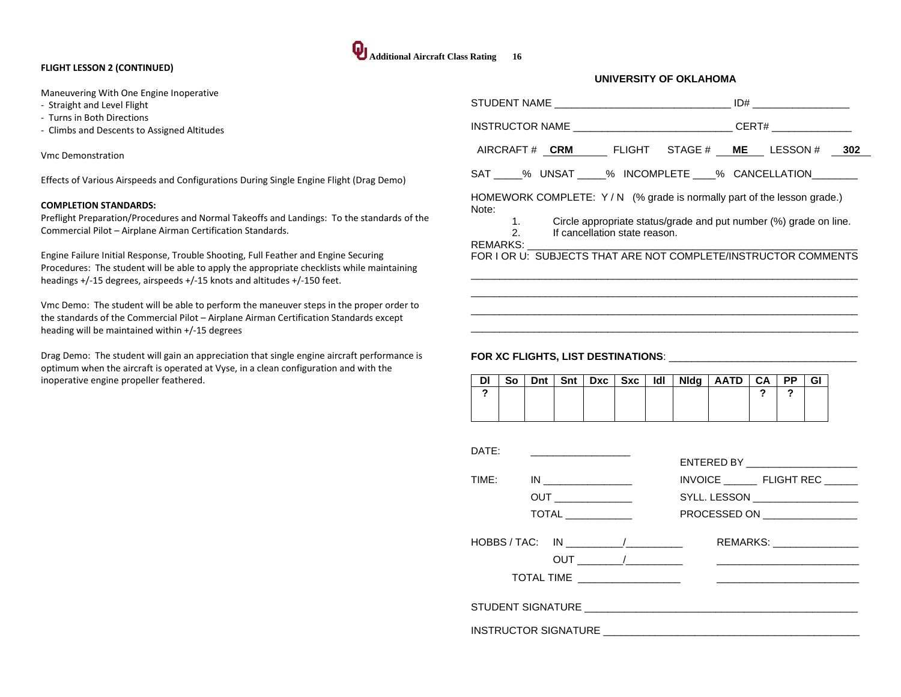#### **FLIGHT LESSON 2 (CONTINUED)**

Maneuvering With One Engine Inoperative

- Straight and Level Flight
- Turns in Both Directions
- Climbs and Descents to Assigned Altitudes

Vmc Demonstration

Effects of Various Airspeeds and Configurations During Single Engine Flight (Drag Demo)

#### **COMPLETION STANDARDS:**

Preflight Preparation/Procedures and Normal Takeoffs and Landings: To the standards of the Commercial Pilot – Airplane Airman Certification Standards.

Engine Failure Initial Response, Trouble Shooting, Full Feather and Engine Securing Procedures: The student will be able to apply the appropriate checklists while maintaining headings +/-15 degrees, airspeeds +/-15 knots and altitudes +/-150 feet.

Vmc Demo: The student will be able to perform the maneuver steps in the proper order to the standards of the Commercial Pilot – Airplane Airman Certification Standards except heading will be maintained within +/-15 degrees

Drag Demo: The student will gain an appreciation that single engine aircraft performance is optimum when the aircraft is operated at Vyse, in a clean configuration and with the inoperative engine propeller feathered.

## STUDENT NAME \_\_\_\_\_\_\_\_\_\_\_\_\_\_\_\_\_\_\_\_\_\_\_\_\_\_\_\_\_\_\_ ID# \_\_\_\_\_\_\_\_\_\_\_\_\_\_\_\_\_ INSTRUCTOR NAME \_\_\_\_\_\_\_\_\_\_\_\_\_\_\_\_\_\_\_\_\_\_\_\_\_\_\_\_\_\_\_\_\_CERT# AIRCRAFT # **CRM** FLIGHT STAGE # **ME** LESSON # **302** SAT \_\_\_\_\_% UNSAT \_\_\_\_% INCOMPLETE \_\_\_\_% CANCELLATION HOMEWORK COMPLETE: Y/N (% grade is normally part of the lesson grade.) Note: 1. Circle appropriate status/grade and put number (%) grade on line. 2. If cancellation state reason. REMARKS: FOR I OR U: SUBJECTS THAT ARE NOT COMPLETE/INSTRUCTOR COMMENTS

 $\overline{a}$  , and the set of the set of the set of the set of the set of the set of the set of the set of the set of the set of the set of the set of the set of the set of the set of the set of the set of the set of the set  $\overline{a}$  , and the set of the set of the set of the set of the set of the set of the set of the set of the set of the set of the set of the set of the set of the set of the set of the set of the set of the set of the set  $\overline{a}$  , and the set of the set of the set of the set of the set of the set of the set of the set of the set of the set of the set of the set of the set of the set of the set of the set of the set of the set of the set  $\overline{a}$  , and the state of the state of the state of the state of the state of the state of the state of the state of the state of the state of the state of the state of the state of the state of the state of the state o

**UNIVERSITY OF OKLAHOMA**

## **FOR XC FLIGHTS, LIST DESTINATIONS**: \_\_\_\_\_\_\_\_\_\_\_\_\_\_\_\_\_\_\_\_\_\_\_\_\_\_\_\_\_\_\_\_\_

**Additional Aircraft Class Rating 16** 

| So |  |  |  | Dnt   Snt   Dxc   Sxc   Idl   Nidg   AATD   CA   PP |  | GI |
|----|--|--|--|-----------------------------------------------------|--|----|
|    |  |  |  |                                                     |  |    |
|    |  |  |  |                                                     |  |    |
|    |  |  |  |                                                     |  |    |

| DATF: |                                 | ENTERED BY _______________________                                                                                    |
|-------|---------------------------------|-----------------------------------------------------------------------------------------------------------------------|
| TIME: |                                 | INVOICE FLIGHT REC                                                                                                    |
|       |                                 | SYLL. LESSON ___________________                                                                                      |
|       |                                 | PROCESSED ON _________________                                                                                        |
|       | HOBBS / TAC: IN                 | REMARKS: ________________                                                                                             |
|       | TOTAL TIME ____________________ | <u> De la contrada de la contrada de la contrada de la contrada de la contrada de la contrada de la contrada de l</u> |
|       |                                 |                                                                                                                       |
|       |                                 | <b>INSTRUCTOR SIGNATURE AND RESIDENT SERVICE OF A STATE OF STATE OF A STATE OF STATE OF STATE OF STATE OF STATE O</b> |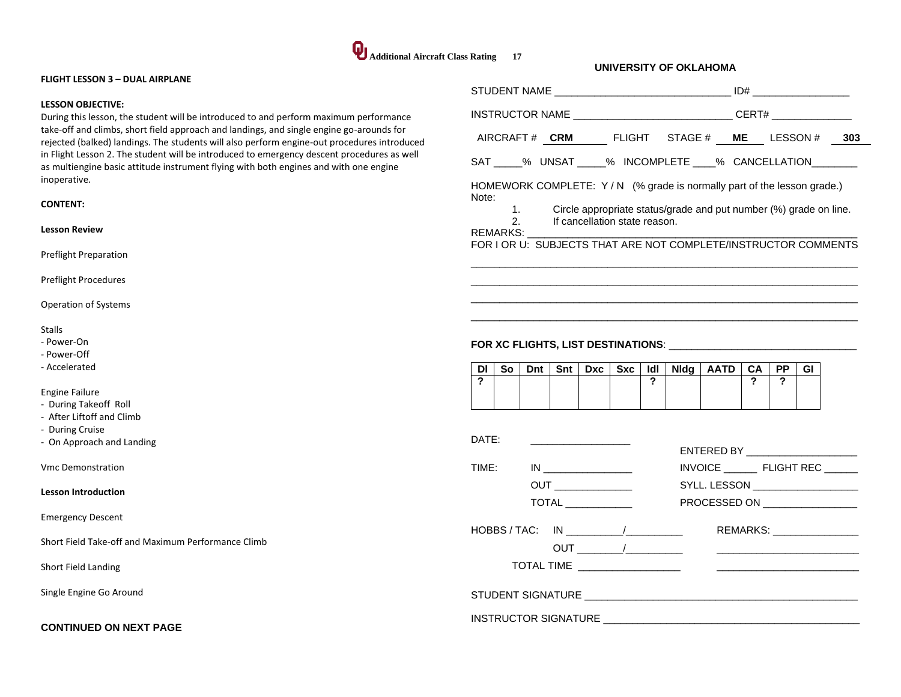

| <b>FLIGHT LESSON 3 - DUAL AIRPLANE</b>                                                                                                                                                                                                                                           |                                                                                                                                                                                                                                         |
|----------------------------------------------------------------------------------------------------------------------------------------------------------------------------------------------------------------------------------------------------------------------------------|-----------------------------------------------------------------------------------------------------------------------------------------------------------------------------------------------------------------------------------------|
| <b>LESSON OBJECTIVE:</b>                                                                                                                                                                                                                                                         | INSTRUCTOR NAME ___________________________________CERT# _______________________                                                                                                                                                        |
| During this lesson, the student will be introduced to and perform maximum performance<br>take-off and climbs, short field approach and landings, and single engine go-arounds for<br>rejected (balked) landings. The students will also perform engine-out procedures introduced | AIRCRAFT# CRM FLIGHT STAGE # ME LESSON # 303                                                                                                                                                                                            |
| in Flight Lesson 2. The student will be introduced to emergency descent procedures as well<br>as multiengine basic attitude instrument flying with both engines and with one engine                                                                                              | SAT ____% UNSAT _____% INCOMPLETE ____% CANCELLATION ________                                                                                                                                                                           |
| inoperative.                                                                                                                                                                                                                                                                     | HOMEWORK COMPLETE: Y/N (% grade is normally part of the lesson grade.)                                                                                                                                                                  |
| <b>CONTENT:</b>                                                                                                                                                                                                                                                                  | Note:<br>Circle appropriate status/grade and put number (%) grade on line.<br>1.                                                                                                                                                        |
| <b>Lesson Review</b>                                                                                                                                                                                                                                                             | 2.<br>If cancellation state reason.<br><b>REMARKS:</b><br>FOR I OR U: SUBJECTS THAT ARE NOT COMPLETE/INSTRUCTOR COMMENTS                                                                                                                |
| <b>Preflight Preparation</b>                                                                                                                                                                                                                                                     |                                                                                                                                                                                                                                         |
| <b>Preflight Procedures</b>                                                                                                                                                                                                                                                      |                                                                                                                                                                                                                                         |
| Operation of Systems                                                                                                                                                                                                                                                             |                                                                                                                                                                                                                                         |
| Stalls<br>- Power-On<br>- Power-Off<br>- Accelerated                                                                                                                                                                                                                             | Snt   Dxc   Sxc<br>Nidg   AATD<br><b>PP</b><br>So<br>Dnt<br>ldl l<br>CA<br>GI<br><b>DI</b>                                                                                                                                              |
| <b>Engine Failure</b><br>- During Takeoff Roll<br>- After Liftoff and Climb<br>- During Cruise                                                                                                                                                                                   | $\boldsymbol{\mathcal{P}}$<br>$\mathbf{r}$<br>?<br>?                                                                                                                                                                                    |
| - On Approach and Landing                                                                                                                                                                                                                                                        | DATE:<br>ENTERED BY AND THE RESERVE THE RESERVE THAT A RESERVE THE RESERVE THAT A REPORT OF THE RESERVE THAT A REPORT OF THE RESERVE THAT A REPORT OF THE RESERVE THAT A REPORT OF THE REPORT OF THE REPORT OF THE REPORT OF THE REPORT |
| <b>Vmc Demonstration</b>                                                                                                                                                                                                                                                         | TIME:                                                                                                                                                                                                                                   |
| <b>Lesson Introduction</b>                                                                                                                                                                                                                                                       | OUT                                                                                                                                                                                                                                     |
|                                                                                                                                                                                                                                                                                  | <b>TOTAL</b><br>PROCESSED ON ________________                                                                                                                                                                                           |
| <b>Emergency Descent</b>                                                                                                                                                                                                                                                         | HOBBS / TAC: IN ____________/__________<br>REMARKS: ________________                                                                                                                                                                    |
| Short Field Take-off and Maximum Performance Climb                                                                                                                                                                                                                               |                                                                                                                                                                                                                                         |
| Short Field Landing                                                                                                                                                                                                                                                              |                                                                                                                                                                                                                                         |
| Single Engine Go Around                                                                                                                                                                                                                                                          |                                                                                                                                                                                                                                         |
| <b>CONTINUED ON NEXT PAGE</b>                                                                                                                                                                                                                                                    |                                                                                                                                                                                                                                         |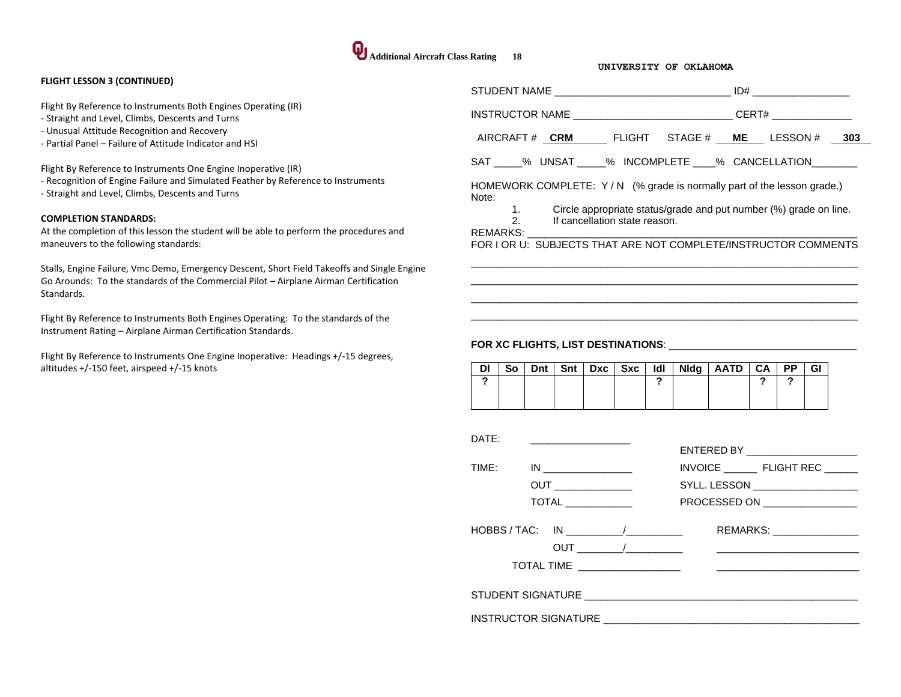#### **FLIGHT LESSON 3 (CONTINUED)**

Flight By Reference to Instruments Both Engines Operating (IR)

- Straight and Level, Climbs, Descents and Turns
- Unusual Attitude Recognition and Recovery
- Partial Panel Failure of Attitude Indicator and HSI

Flight By Reference to Instruments One Engine Inoperative (IR)

- Recognition of Engine Failure and Simulated Feather by Reference to Instruments
- Straight and Level, Climbs, Descents and Turns

#### **COMPLETION STANDARDS:**

At the completion of this lesson the student will be able to perform the procedures and maneuvers to the following standards:

Stalls, Engine Failure, Vmc Demo, Emergency Descent, Short Field Takeoffs and Single Engine Go Arounds: To the standards of the Commercial Pilot – Airplane Airman Certification Standards.

Flight By Reference to Instruments Both Engines Operating: To the standards of the Instrument Rating – Airplane Airman Certification Standards.

Flight By Reference to Instruments One Engine Inoperative: Headings +/-15 degrees, altitudes +/-150 feet, airspeed +/-15 knots

|                                                                                                                                     | $ID#$ ________________________                                |  |  |  |  |  |  |
|-------------------------------------------------------------------------------------------------------------------------------------|---------------------------------------------------------------|--|--|--|--|--|--|
|                                                                                                                                     | CERT# ______________                                          |  |  |  |  |  |  |
| AIRCRAFT# CRM FLIGHT STAGE# ME LESSON#                                                                                              | 303                                                           |  |  |  |  |  |  |
|                                                                                                                                     | SAT % UNSAT % INCOMPLETE % CANCELLATION                       |  |  |  |  |  |  |
| HOMEWORK COMPLETE: Y/N (% grade is normally part of the lesson grade.)<br>Note:                                                     |                                                               |  |  |  |  |  |  |
| $1.$ $\sim$<br>Circle appropriate status/grade and put number (%) grade on line.<br>2.<br>If cancellation state reason.<br>REMARKS: |                                                               |  |  |  |  |  |  |
|                                                                                                                                     | FOR LOR U: SUBJECTS THAT ARE NOT COMPLETE/INSTRUCTOR COMMENTS |  |  |  |  |  |  |

 $\overline{a}$  , and the set of the set of the set of the set of the set of the set of the set of the set of the set of the set of the set of the set of the set of the set of the set of the set of the set of the set of the set  $\overline{a}$  , and the set of the set of the set of the set of the set of the set of the set of the set of the set of the set of the set of the set of the set of the set of the set of the set of the set of the set of the set  $\overline{a}$  , and the set of the set of the set of the set of the set of the set of the set of the set of the set of the set of the set of the set of the set of the set of the set of the set of the set of the set of the set  $\overline{a}$  , and the set of the set of the set of the set of the set of the set of the set of the set of the set of the set of the set of the set of the set of the set of the set of the set of the set of the set of the set

| DI |  |  | So   Dnt   Snt   Dxc   Sxc |  | $IdI$   Nidg   AATD   CA   PP |  | GI |
|----|--|--|----------------------------|--|-------------------------------|--|----|
|    |  |  |                            |  |                               |  |    |
|    |  |  |                            |  |                               |  |    |

| DATF:                                                       |                                                                                                                                 |
|-------------------------------------------------------------|---------------------------------------------------------------------------------------------------------------------------------|
| TIME: IN ________________<br>$\overline{ \text{TOTAL} } \_$ | ENTERED BY _______________________<br>INVOICE FLIGHT REC<br>SYLL. LESSON ___________________<br>PROCESSED ON __________________ |
|                                                             |                                                                                                                                 |
| $HOBBS / TAC: IN$ $\qquad \qquad \qquad \qquad$             | REMARKS: ________________                                                                                                       |
|                                                             |                                                                                                                                 |
|                                                             |                                                                                                                                 |
|                                                             |                                                                                                                                 |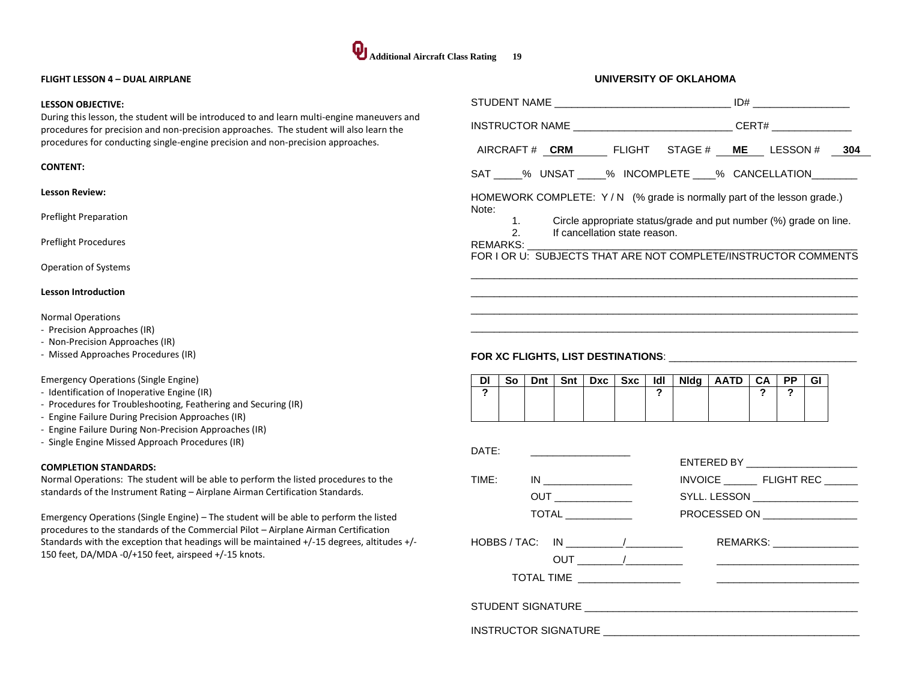

#### **FLIGHT LESSON 4 – DUAL AIRPLANE**

#### **LESSON OBJECTIVE:**

During this lesson, the student will be introduced to and learn multi-engine maneuvers and procedures for precision and non-precision approaches. The student will also learn the procedures for conducting single-engine precision and non-precision approaches.

#### **CONTENT:**

#### **Lesson Review:**

Preflight Preparation

Preflight Procedures

Operation of Systems

#### **Lesson Introduction**

Normal Operations

- Precision Approaches (IR)
- Non-Precision Approaches (IR)
- Missed Approaches Procedures (IR)

#### Emergency Operations (Single Engine)

- Identification of Inoperative Engine (IR)
- Procedures for Troubleshooting, Feathering and Securing (IR)
- Engine Failure During Precision Approaches (IR)
- Engine Failure During Non-Precision Approaches (IR)
- Single Engine Missed Approach Procedures (IR)

#### **COMPLETION STANDARDS:**

Normal Operations: The student will be able to perform the listed procedures to the standards of the Instrument Rating – Airplane Airman Certification Standards.

Emergency Operations (Single Engine) – The student will be able to perform the listed procedures to the standards of the Commercial Pilot – Airplane Airman Certification Standards with the exception that headings will be maintained +/-15 degrees, altitudes +/- 150 feet, DA/MDA -0/+150 feet, airspeed +/-15 knots.

| INSTRUCTOR NAME ________________________________CERT# __________________________ |                   |     |                               |     |     |             |                                                                   |              |           |    |  |
|----------------------------------------------------------------------------------|-------------------|-----|-------------------------------|-----|-----|-------------|-------------------------------------------------------------------|--------------|-----------|----|--|
|                                                                                  |                   |     |                               |     |     |             | AIRCRAFT # CRM FLIGHT STAGE # ME LESSON # 304                     |              |           |    |  |
| SAT 3% UNSAT 3% INCOMPLETE 3% CANCELLATION                                       |                   |     |                               |     |     |             |                                                                   |              |           |    |  |
| HOMEWORK COMPLETE: Y/N (% grade is normally part of the lesson grade.)<br>Note:  |                   |     |                               |     |     |             |                                                                   |              |           |    |  |
| REMARKS:                                                                         | $1.$ $\sim$<br>2. |     | If cancellation state reason. |     |     |             | Circle appropriate status/grade and put number (%) grade on line. |              |           |    |  |
| FOR I OR U: SUBJECTS THAT ARE NOT COMPLETE/INSTRUCTOR COMMENTS                   |                   |     |                               |     |     |             |                                                                   |              |           |    |  |
|                                                                                  |                   |     |                               |     |     |             |                                                                   |              |           |    |  |
|                                                                                  |                   |     |                               |     |     |             |                                                                   |              |           |    |  |
|                                                                                  |                   |     |                               |     |     |             |                                                                   |              |           |    |  |
| DI<br>So                                                                         | Dnt               | Snt | <b>Dxc</b>                    | Sxc | ldl | <b>Nidg</b> | AATD I                                                            | CA I         | <b>PP</b> | GI |  |
| ?                                                                                |                   |     |                               |     | 2   |             |                                                                   | $\mathbf{r}$ | 2         |    |  |
|                                                                                  |                   |     |                               |     |     |             |                                                                   |              |           |    |  |
| DATF:                                                                            |                   |     |                               |     |     |             | <b>CUTEDED OV</b>                                                 |              |           |    |  |

|                                                                                 | ENTERED BY ______________________ |
|---------------------------------------------------------------------------------|-----------------------------------|
| TIME: IN _________________                                                      | INVOICE FLIGHT REC                |
|                                                                                 | SYLL. LESSON ___________________  |
| TOTAL _____________                                                             | PROCESSED ON _________________    |
| $HOBBS / TAC: IN 1 1 1 1 1 1 1 1 1 1 1 1 1 1 1 1 1 1 1 1 1 1 1 1 1 1 1 1 1 1 <$ | REMARKS: ________________         |
|                                                                                 |                                   |
|                                                                                 |                                   |
|                                                                                 |                                   |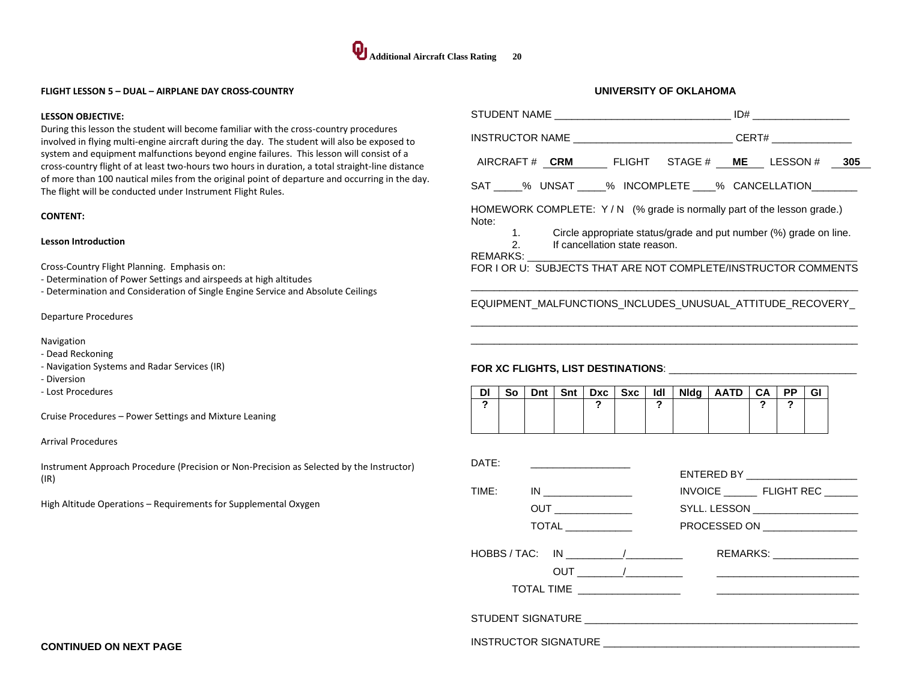

#### **FLIGHT LESSON 5 – DUAL – AIRPLANE DAY CROSS-COUNTRY**

#### **LESSON OBJECTIVE:**

During this lesson the student will become familiar with the cross-country procedures involved in flying multi-engine aircraft during the day. The student will also be exposed to system and equipment malfunctions beyond engine failures. This lesson will consist of a cross-country flight of at least two-hours two hours in duration, a total straight-line distance of more than 100 nautical miles from the original point of departure and occurring in the day. The flight will be conducted under Instrument Flight Rules.

#### **CONTENT:**

#### **Lesson Introduction**

Cross-Country Flight Planning. Emphasis on:

- Determination of Power Settings and airspeeds at high altitudes

- Determination and Consideration of Single Engine Service and Absolute Ceilings

#### Departure Procedures

Navigation

- Dead Reckoning
- Navigation Systems and Radar Services (IR)
- Diversion
- Lost Procedures

Cruise Procedures – Power Settings and Mixture Leaning

#### Arrival Procedures

Instrument Approach Procedure (Precision or Non-Precision as Selected by the Instructor) (IR)

High Altitude Operations – Requirements for Supplemental Oxygen

|         |                                 |     |     |                                                                                |            |          | INSTRUCTOR NAME _________________________________CERT# _________________________                                                                                                                              |         |          |    |  |
|---------|---------------------------------|-----|-----|--------------------------------------------------------------------------------|------------|----------|---------------------------------------------------------------------------------------------------------------------------------------------------------------------------------------------------------------|---------|----------|----|--|
|         |                                 |     |     |                                                                                |            |          | AIRCRAFT# CRM FLIGHT STAGE # ME LESSON # 305                                                                                                                                                                  |         |          |    |  |
|         |                                 |     |     |                                                                                |            |          | SAT _____% UNSAT _____% INCOMPLETE ____% CANCELLATION________                                                                                                                                                 |         |          |    |  |
| Note:   | 1.<br>$\mathcal{P}$<br>REMARKS: |     |     | If cancellation state reason.                                                  |            |          | HOMEWORK COMPLETE: Y/N (% grade is normally part of the lesson grade.)<br>Circle appropriate status/grade and put number (%) grade on line.<br>FOR I OR U: SUBJECTS THAT ARE NOT COMPLETE/INSTRUCTOR COMMENTS |         |          |    |  |
|         |                                 |     |     |                                                                                |            |          | EQUIPMENT_MALFUNCTIONS_INCLUDES_UNUSUAL_ATTITUDE_RECOVERY_                                                                                                                                                    |         |          |    |  |
|         |                                 |     |     |                                                                                |            |          |                                                                                                                                                                                                               |         |          |    |  |
|         |                                 |     |     |                                                                                |            |          |                                                                                                                                                                                                               |         |          |    |  |
| DI<br>? | So                              | Dnt | Snt | Dxc<br>?                                                                       | <b>Sxc</b> | ldl<br>? | Nidg   AATD                                                                                                                                                                                                   | CA<br>? | PP.<br>2 | GI |  |
|         |                                 |     |     |                                                                                |            |          |                                                                                                                                                                                                               |         |          |    |  |
|         |                                 |     |     |                                                                                |            |          |                                                                                                                                                                                                               |         |          |    |  |
| DATE:   |                                 |     |     |                                                                                |            |          |                                                                                                                                                                                                               |         |          |    |  |
| TIME:   |                                 |     |     | $IN$                                                                           |            |          | INVOICE ___________ FLIGHT REC _______                                                                                                                                                                        |         |          |    |  |
|         |                                 |     |     | <b>OUT</b> ________________                                                    |            |          | SYLL. LESSON ____________________                                                                                                                                                                             |         |          |    |  |
|         |                                 |     |     | <b>TOTAL</b>                                                                   |            |          | PROCESSED ON <b>Example 20</b>                                                                                                                                                                                |         |          |    |  |
|         |                                 |     |     | $HOBBS / TAC: IN 1 1 1 1 1 1 1 1 1 1 1 1 1 1 1 1 1 1 1 1 1 1 1 1 1 1 1 1 1 1 $ |            |          | REMARKS: _________________                                                                                                                                                                                    |         |          |    |  |
|         |                                 |     |     |                                                                                |            |          | <u> 1989 - Johann John Stein, fransk politik (</u>                                                                                                                                                            |         |          |    |  |
|         |                                 |     |     | TOTAL TIME __________________                                                  |            |          |                                                                                                                                                                                                               |         |          |    |  |
|         |                                 |     |     |                                                                                |            |          |                                                                                                                                                                                                               |         |          |    |  |
|         |                                 |     |     |                                                                                |            |          |                                                                                                                                                                                                               |         |          |    |  |

**UNIVERSITY OF OKLAHOMA**

**CONTINUED ON NEXT PAGE**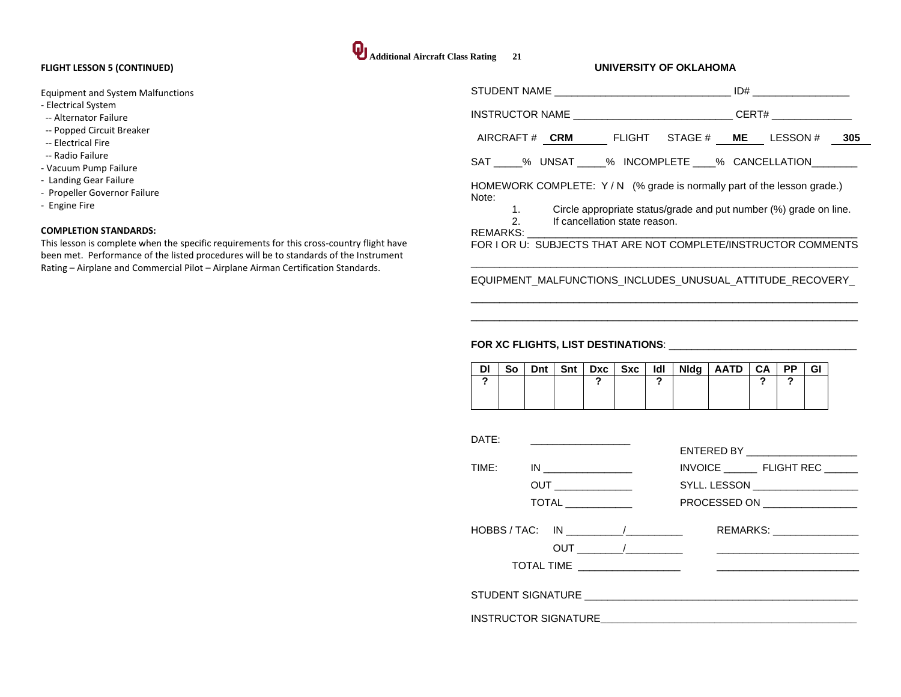#### **FLIGHT LESSON 5 (CONTINUED)**

Equipment and System Malfunctions

- Electrical System
- -- Alternator Failure
- -- Popped Circuit Breaker
- -- Electrical Fire
- -- Radio Failure
- Vacuum Pump Failure
- Landing Gear Failure
- Propeller Governor Failure
- Engine Fire

#### **COMPLETION STANDARDS:**

This lesson is complete when the specific requirements for this cross-country flight have been met. Performance of the listed procedures will be to standards of the Instrument Rating – Airplane and Commercial Pilot – Airplane Airman Certification Standards.

| Additional Aircraft Class Rating 21 |  |
|-------------------------------------|--|

#### **UNIVERSITY OF OKLAHOMA**

| AIRCRAFT# CRM FLIGHT STAGE# ME LESSON# 305                    |
|---------------------------------------------------------------|
| SAT 6.1 % UNSAT 4.1 % INCOMPLETE 4.1 % CANCELLATION           |
|                                                               |
|                                                               |
|                                                               |
|                                                               |
| FOR LOR U: SUBJECTS THAT ARE NOT COMPLETE/INSTRUCTOR COMMENTS |
|                                                               |
| CERT#                                                         |

## EQUIPMENT\_MALFUNCTIONS\_INCLUDES\_UNUSUAL\_ATTITUDE\_RECOVERY  $\overline{a}$  , and the set of the set of the set of the set of the set of the set of the set of the set of the set of the set of the set of the set of the set of the set of the set of the set of the set of the set of the set

 $\overline{a}$  , and the set of the set of the set of the set of the set of the set of the set of the set of the set of the set of the set of the set of the set of the set of the set of the set of the set of the set of the set

| DI | So | <b>Dnt</b> | Snt | $Dxc$ $Sxc$ | ldl | <b>Nidg</b> | <b>AATD</b> | CA | <b>PP</b> | <b>GI</b> |
|----|----|------------|-----|-------------|-----|-------------|-------------|----|-----------|-----------|
|    |    |            |     |             |     |             |             |    |           |           |
|    |    |            |     |             |     |             |             |    |           |           |
|    |    |            |     |             |     |             |             |    |           |           |

| DATE: |                            | ENTERED BY _______________________                                                        |
|-------|----------------------------|-------------------------------------------------------------------------------------------|
| TIME: | <b>TOTAL</b> _____________ | INVOICE FLIGHT REC<br>SYLL. LESSON ____________________<br>PROCESSED ON _________________ |
|       | HOBBS / TAC: IN            | REMARKS: ________________                                                                 |
|       |                            |                                                                                           |
|       |                            |                                                                                           |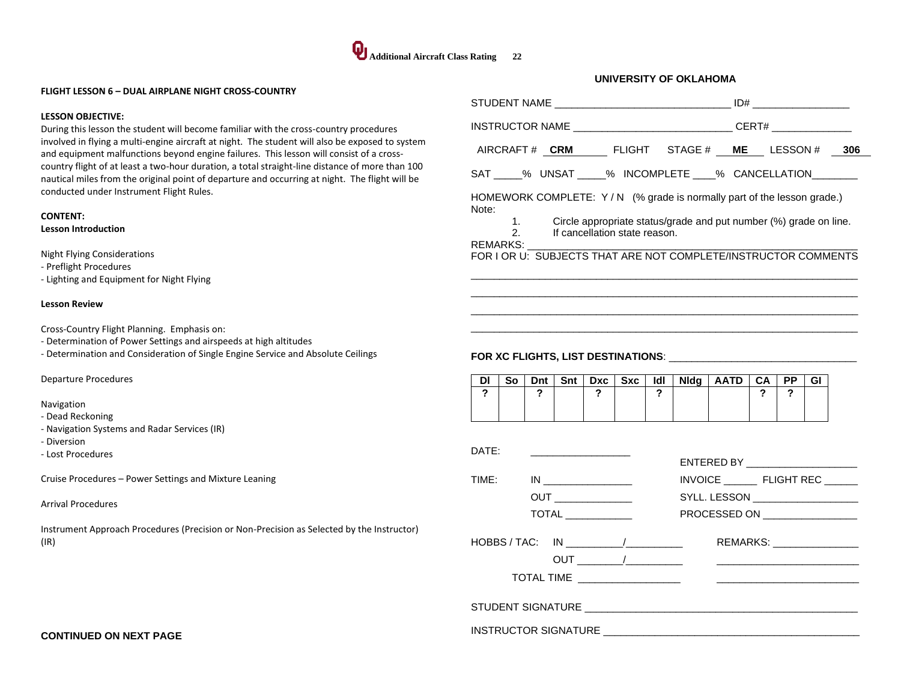

#### **FLIGHT LESSON 6 – DUAL AIRPLANE NIGHT CROSS-COUNTRY**

#### **LESSON OBJECTIVE:**

During this lesson the student will become familiar with the cross-country procedures involved in flying a multi-engine aircraft at night. The student will also be exposed to system and equipment malfunctions beyond engine failures. This lesson will consist of a crosscountry flight of at least a two-hour duration, a total straight-line distance of more than 100 nautical miles from the original point of departure and occurring at night. The flight will be conducted under Instrument Flight Rules.

## **CONTENT:**

## **Lesson Introduction**

Night Flying Considerations

- Preflight Procedures

- Lighting and Equipment for Night Flying

#### **Lesson Review**

Cross-Country Flight Planning. Emphasis on:

- Determination of Power Settings and airspeeds at high altitudes
- Determination and Consideration of Single Engine Service and Absolute Ceilings

Departure Procedures

Navigation

- Dead Reckoning
- Navigation Systems and Radar Services (IR)
- Diversion
- Lost Procedures

Cruise Procedures – Power Settings and Mixture Leaning

#### Arrival Procedures

Instrument Approach Procedures (Precision or Non-Precision as Selected by the Instructor) (IR)

| INSTRUCTOR NAME ________________________________CERT# __________________________                                                                                                                                               |                                                                                                                      |
|--------------------------------------------------------------------------------------------------------------------------------------------------------------------------------------------------------------------------------|----------------------------------------------------------------------------------------------------------------------|
| AIRCRAFT# CRM FLIGHT STAGE# ME LESSON # 306                                                                                                                                                                                    |                                                                                                                      |
| SAT _____% UNSAT _____% INCOMPLETE ____% CANCELLATION________                                                                                                                                                                  |                                                                                                                      |
| HOMEWORK COMPLETE: Y/N (% grade is normally part of the lesson grade.)<br>Note:<br>2. If cancellation state reason.                                                                                                            | 1. Circle appropriate status/grade and put number (%) grade on line.                                                 |
|                                                                                                                                                                                                                                | <u> 1989 - Jan James James James James James James James James James James James James James James James James J</u> |
| FOR XC FLIGHTS, LIST DESTINATIONS: The material contract of the state of the state of the state of the state of the state of the state of the state of the state of the state of the state of the state of the state of the st |                                                                                                                      |

|  |  |  |  | So   Dnt   Snt   Dxc   Sxc   Idl   Nldg   AATD   CA   PP |  | GI |
|--|--|--|--|----------------------------------------------------------|--|----|
|  |  |  |  |                                                          |  |    |
|  |  |  |  |                                                          |  |    |
|  |  |  |  |                                                          |  |    |

| DATE: |                                                                                |                                    |
|-------|--------------------------------------------------------------------------------|------------------------------------|
|       |                                                                                | ENTERED BY _______________________ |
|       | TIME: IN _________________                                                     |                                    |
|       | <b>OUT</b>                                                                     | SYLL. LESSON ___________________   |
|       |                                                                                | PROCESSED ON ________________      |
|       | $HOBBS / TAC: IN 1 1 1 1 1 1 1 1 1 1 1 1 1 1 1 1 1 1 1 1 1 1 1 1 1 1 1 1 1 1 $ | REMARKS: _________________         |
|       |                                                                                |                                    |
|       |                                                                                |                                    |
|       |                                                                                |                                    |
|       |                                                                                |                                    |
|       |                                                                                |                                    |

**CONTINUED ON NEXT PAGE**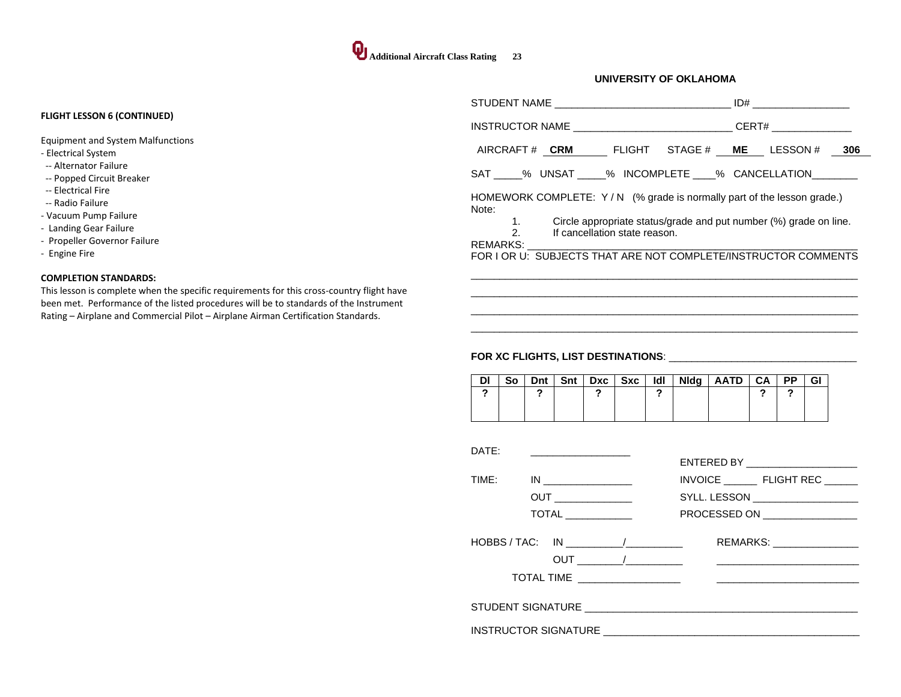|                                                                                                                                                                                                                                                                                                         | STUDENT NAME                                                                                                                                                                                                                                                                                                                                                     | ID#                           |
|---------------------------------------------------------------------------------------------------------------------------------------------------------------------------------------------------------------------------------------------------------------------------------------------------------|------------------------------------------------------------------------------------------------------------------------------------------------------------------------------------------------------------------------------------------------------------------------------------------------------------------------------------------------------------------|-------------------------------|
| <b>FLIGHT LESSON 6 (CONTINUED)</b>                                                                                                                                                                                                                                                                      | INSTRUCTOR NAME AND THE STATE OF THE STATE OF THE STATE OF THE STATE OF THE STATE OF THE STATE OF THE STATE OF                                                                                                                                                                                                                                                   | CERT#                         |
| <b>Equipment and System Malfunctions</b><br>- Electrical System<br>-- Alternator Failure<br>-- Popped Circuit Breaker<br>-- Electrical Fire<br>-- Radio Failure<br>- Vacuum Pump Failure<br>- Landing Gear Failure<br>- Propeller Governor Failure<br>- Engine Fire                                     | AIRCRAFT# <b>CRM</b><br>FLIGHT<br>SAT _____% UNSAT _____% INCOMPLETE ____% CANCELLATION _______<br>HOMEWORK COMPLETE: Y/N (% grade is normally part of the lesson grade.)<br>Note:<br>Circle appropriate status/grade and put number (%) grade on line.<br>2.<br>If cancellation state reason.<br>FOR I OR U: SUBJECTS THAT ARE NOT COMPLETE/INSTRUCTOR COMMENTS | STAGE # ME<br>LESSON #<br>306 |
| <b>COMPLETION STANDARDS:</b><br>This lesson is complete when the specific requirements for this cross-country flight have<br>been met. Performance of the listed procedures will be to standards of the Instrument<br>Rating – Airplane and Commercial Pilot – Airplane Airman Certification Standards. |                                                                                                                                                                                                                                                                                                                                                                  |                               |

## **FOR XC FLIGHTS, LIST DESTINATIONS**: \_\_\_\_\_\_\_\_\_\_\_\_\_\_\_\_\_\_\_\_\_\_\_\_\_\_\_\_\_\_\_\_\_

| So |  | Dnt   Snt   Dxc   Sxc | ldl | <b>Nidg</b> | AATD CA | <b>PP</b> | Gl |
|----|--|-----------------------|-----|-------------|---------|-----------|----|
|    |  |                       |     |             |         |           |    |
|    |  |                       |     |             |         |           |    |

 $\overline{a}$  , and the set of the set of the set of the set of the set of the set of the set of the set of the set of the set of the set of the set of the set of the set of the set of the set of the set of the set of the set

| DATF:                                                                                                          | ENTERED BY _______________________ |
|----------------------------------------------------------------------------------------------------------------|------------------------------------|
| TIMF:                                                                                                          | INVOICE FLIGHT REC                 |
| OUT ________________                                                                                           | SYLL. LESSON ____________________  |
| <b>TOTAL</b> ____________                                                                                      | PROCESSED ON _________________     |
| $HOBBS / TAC: IN$ $\qquad \qquad \qquad \qquad$<br>TOTAL TIME ____________________                             | REMARKS: ________________          |
|                                                                                                                |                                    |
| INSTRUCTOR SIGNATURE AND THE STATE OF THE STATE OF THE STATE OF THE STATE OF THE STATE OF THE STATE OF THE STA |                                    |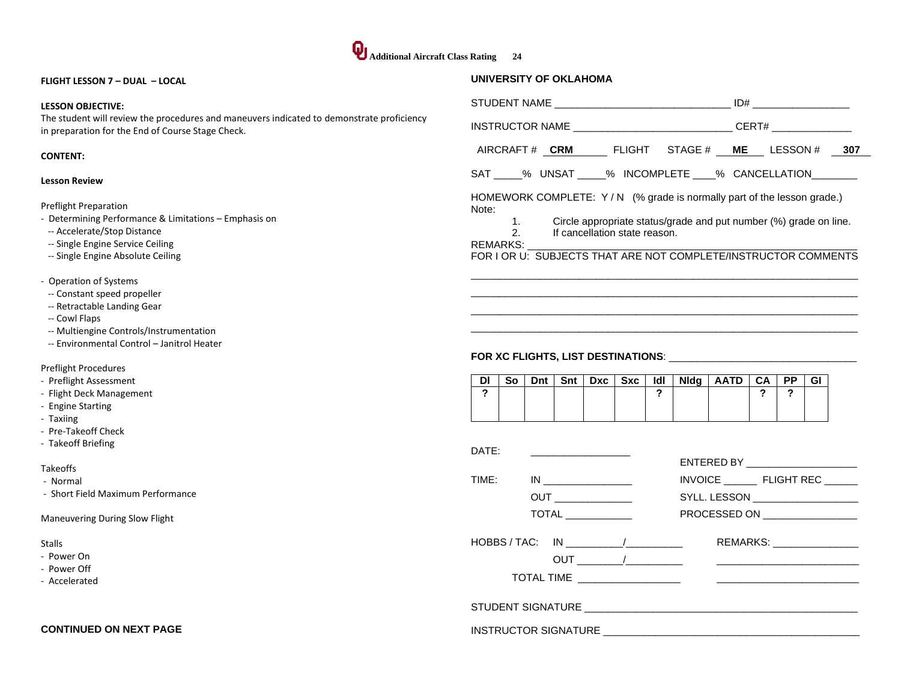#### **FLIGHT LESSON 7 – DUAL – LOCAL**

#### **LESSON OBJECTIVE:**

The student will review the procedures and maneuvers indicated to demonstrate proficiency in preparation for the End of Course Stage Check.

#### **CONTENT:**

#### **Lesson Review**

Preflight Preparation

- Determining Performance & Limitations Emphasis on
- -- Accelerate/Stop Distance
- -- Single Engine Service Ceiling
- -- Single Engine Absolute Ceiling
- Operation of Systems
- -- Constant speed propeller
- -- Retractable Landing Gear
- -- Cowl Flaps
- -- Multiengine Controls/Instrumentation
- -- Environmental Control Janitrol Heater

Preflight Procedures

- Preflight Assessment
- Flight Deck Management
- Engine Starting
- Taxiing
- Pre-Takeoff Check
- Takeoff Briefing

#### Takeoffs

- Normal
- Short Field Maximum Performance

Maneuvering During Slow Flight

#### Stalls

- Power On
- Power Off
- Accelerated

#### **CONTINUED ON NEXT PAGE**

|       | INSTRUCTOR NAME __________________________________ CERT# ______________                                                                        |  |  |  |  |  |  |  |
|-------|------------------------------------------------------------------------------------------------------------------------------------------------|--|--|--|--|--|--|--|
|       | AIRCRAFT# CRM FLIGHT STAGE# ME LESSON# 307                                                                                                     |  |  |  |  |  |  |  |
|       | SAT 3% UNSAT 3% INCOMPLETE 3% CANCELLATION                                                                                                     |  |  |  |  |  |  |  |
| Note: | HOMEWORK COMPLETE: Y/N (% grade is normally part of the lesson grade.)<br>1. Circle appropriate status/grade and put number (%) grade on line. |  |  |  |  |  |  |  |
|       | 2. If cancellation state reason.                                                                                                               |  |  |  |  |  |  |  |
|       | FOR I OR U: SUBJECTS THAT ARE NOT COMPLETE/INSTRUCTOR COMMENTS                                                                                 |  |  |  |  |  |  |  |
|       |                                                                                                                                                |  |  |  |  |  |  |  |
|       |                                                                                                                                                |  |  |  |  |  |  |  |

 $\overline{a}$  , and the set of the set of the set of the set of the set of the set of the set of the set of the set of the set of the set of the set of the set of the set of the set of the set of the set of the set of the set  $\overline{a}$  , and the set of the set of the set of the set of the set of the set of the set of the set of the set of the set of the set of the set of the set of the set of the set of the set of the set of the set of the set

## **FOR XC FLIGHTS, LIST DESTINATIONS**: \_\_\_\_\_\_\_\_\_\_\_\_\_\_\_\_\_\_\_\_\_\_\_\_\_\_\_\_\_\_\_\_\_

| וח |  | So   Dnt   Snt   Dxc   Sxc |  | $IdI$ Nidg   AATD   CA   PP |  | GI |
|----|--|----------------------------|--|-----------------------------|--|----|
|    |  |                            |  |                             |  |    |
|    |  |                            |  |                             |  |    |
|    |  |                            |  |                             |  |    |

| DATE: |                            |                                    |
|-------|----------------------------|------------------------------------|
|       |                            | ENTERED BY _______________________ |
| TIME: |                            | INVOICE FLIGHT REC                 |
|       |                            | SYLL. LESSON ____________________  |
|       | $\overline{\text{TOTAL}}$  | PROCESSED ON __________________    |
|       |                            |                                    |
|       | $HOBBS/TAC: IN$ $\qquad N$ | REMARKS: ________________          |
|       |                            |                                    |
|       |                            |                                    |
|       |                            |                                    |
|       |                            |                                    |
|       |                            |                                    |
|       |                            |                                    |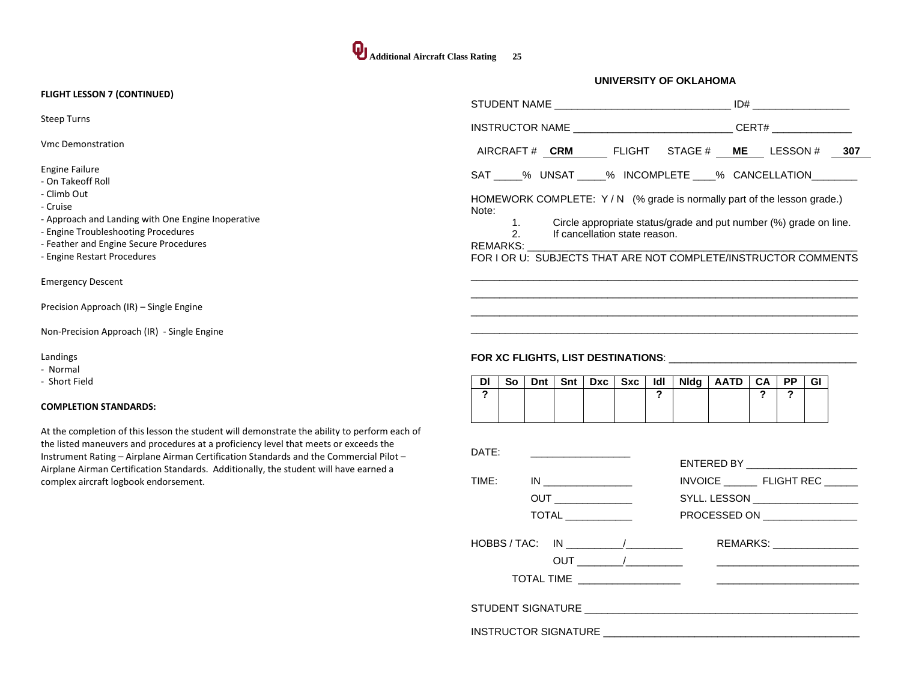#### **FLIGHT LESSON 7 (CONTINUED)**

Steep Turns

Vmc Demonstration

Engine Failure

- On Takeoff Roll
- Climb Out
- Cruise
- Approach and Landing with One Engine Inoperative
- Engine Troubleshooting Procedures
- Feather and Engine Secure Procedures
- Engine Restart Procedures

Emergency Descent

Precision Approach (IR) – Single Engine

Non-Precision Approach (IR) - Single Engine

Landings

- Normal
- Short Field

#### **COMPLETION STANDARDS:**

At the completion of this lesson the student will demonstrate the ability to perform each of the listed maneuvers and procedures at a proficiency level that meets or exceeds the Instrument Rating – Airplane Airman Certification Standards and the Commercial Pilot – Airplane Airman Certification Standards. Additionally, the student will have earned a complex aircraft logbook endorsement.

|                                                                                                                                                                                                                                                                                                  |                                                                                                          |  | ID#                   |  |
|--------------------------------------------------------------------------------------------------------------------------------------------------------------------------------------------------------------------------------------------------------------------------------------------------|----------------------------------------------------------------------------------------------------------|--|-----------------------|--|
|                                                                                                                                                                                                                                                                                                  |                                                                                                          |  | CERT# _______________ |  |
| AIRCRAFT# CRM FLIGHT STAGE# ME LESSON# 307                                                                                                                                                                                                                                                       |                                                                                                          |  |                       |  |
| SAT _____% UNSAT _____% INCOMPLETE ____% CANCELLATION _______                                                                                                                                                                                                                                    |                                                                                                          |  |                       |  |
| HOMEWORK COMPLETE: $Y/N$ (% grade is normally part of the lesson grade.)<br>Note:                                                                                                                                                                                                                |                                                                                                          |  |                       |  |
|                                                                                                                                                                                                                                                                                                  | 1. Circle appropriate status/grade and put number (%) grade on line.<br>2. If cancellation state reason. |  |                       |  |
| REMARKS: And the state of the state of the state of the state of the state of the state of the state of the state of the state of the state of the state of the state of the state of the state of the state of the state of t<br>FOR I OR U: SUBJECTS THAT ARE NOT COMPLETE/INSTRUCTOR COMMENTS |                                                                                                          |  |                       |  |
|                                                                                                                                                                                                                                                                                                  |                                                                                                          |  |                       |  |
|                                                                                                                                                                                                                                                                                                  |                                                                                                          |  |                       |  |

 $\overline{a}$  , and the set of the set of the set of the set of the set of the set of the set of the set of the set of the set of the set of the set of the set of the set of the set of the set of the set of the set of the set  $\overline{a}$  , and the set of the set of the set of the set of the set of the set of the set of the set of the set of the set of the set of the set of the set of the set of the set of the set of the set of the set of the set

## **FOR XC FLIGHTS, LIST DESTINATIONS**: \_\_\_\_\_\_\_\_\_\_\_\_\_\_\_\_\_\_\_\_\_\_\_\_\_\_\_\_\_\_\_\_\_

| <b>DI</b> | So | Dnt | Snt   Dxc   Sxc | Idl | <b>Nldg</b> | AATD   CA | <b>PP</b> | GI |
|-----------|----|-----|-----------------|-----|-------------|-----------|-----------|----|
|           |    |     |                 |     |             |           |           |    |
|           |    |     |                 |     |             |           |           |    |

| DATE: |                                                                                 | ENTERED BY ______________________ |
|-------|---------------------------------------------------------------------------------|-----------------------------------|
| TIME: | IN                                                                              | INVOICE FLIGHT REC                |
|       |                                                                                 | SYLL. LESSON ____________________ |
|       | $\overline{\text{TOTAL}}$                                                       | PROCESSED ON __________________   |
|       | $HOBBS / TAC: IN 1 1 1 1 1 1 1 1 1 1 1 1 1 1 1 1 1 1 1 1 1 1 1 1 1 1 1 1 1 1 <$ | REMARKS: ________________         |
|       |                                                                                 |                                   |
|       |                                                                                 |                                   |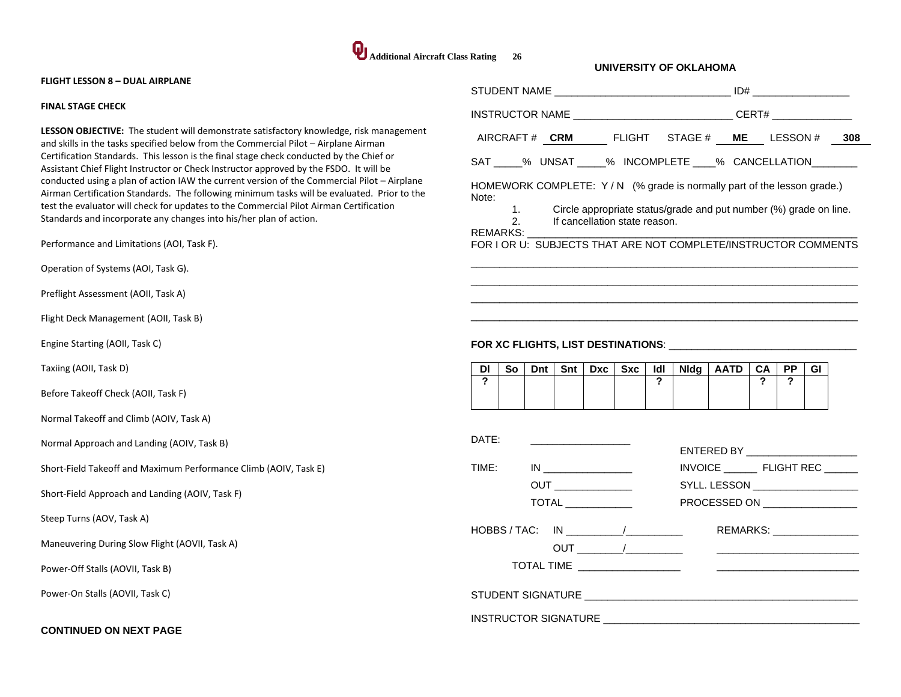

| <b>FLIGHT LESSON 8 - DUAL AIRPLANE</b>                                                                                                                                                                                                                                                                                                                                                                                                                                                                                                                                                                                                                                                                                                                                                |                                                                                                                                                                                                                                                                                                                                                                                                 |
|---------------------------------------------------------------------------------------------------------------------------------------------------------------------------------------------------------------------------------------------------------------------------------------------------------------------------------------------------------------------------------------------------------------------------------------------------------------------------------------------------------------------------------------------------------------------------------------------------------------------------------------------------------------------------------------------------------------------------------------------------------------------------------------|-------------------------------------------------------------------------------------------------------------------------------------------------------------------------------------------------------------------------------------------------------------------------------------------------------------------------------------------------------------------------------------------------|
| <b>FINAL STAGE CHECK</b>                                                                                                                                                                                                                                                                                                                                                                                                                                                                                                                                                                                                                                                                                                                                                              | INSTRUCTOR NAME ______________________________CERT# ____________________________                                                                                                                                                                                                                                                                                                                |
| <b>LESSON OBJECTIVE:</b> The student will demonstrate satisfactory knowledge, risk management<br>and skills in the tasks specified below from the Commercial Pilot - Airplane Airman<br>Certification Standards. This lesson is the final stage check conducted by the Chief or<br>Assistant Chief Flight Instructor or Check Instructor approved by the FSDO. It will be<br>conducted using a plan of action IAW the current version of the Commercial Pilot - Airplane<br>Airman Certification Standards. The following minimum tasks will be evaluated. Prior to the<br>test the evaluator will check for updates to the Commercial Pilot Airman Certification<br>Standards and incorporate any changes into his/her plan of action.<br>Performance and Limitations (AOI, Task F). | AIRCRAFT# CRM FLIGHT STAGE # ME LESSON # 308<br>SAT ____% UNSAT _____% INCOMPLETE ____% CANCELLATION _______<br>HOMEWORK COMPLETE: Y/N (% grade is normally part of the lesson grade.)<br>Note:<br>Circle appropriate status/grade and put number (%) grade on line.<br>1.<br>2.<br>If cancellation state reason.<br>REMARKS:<br>FOR I OR U: SUBJECTS THAT ARE NOT COMPLETE/INSTRUCTOR COMMENTS |
| Operation of Systems (AOI, Task G).                                                                                                                                                                                                                                                                                                                                                                                                                                                                                                                                                                                                                                                                                                                                                   |                                                                                                                                                                                                                                                                                                                                                                                                 |
| Preflight Assessment (AOII, Task A)                                                                                                                                                                                                                                                                                                                                                                                                                                                                                                                                                                                                                                                                                                                                                   |                                                                                                                                                                                                                                                                                                                                                                                                 |
| Flight Deck Management (AOII, Task B)                                                                                                                                                                                                                                                                                                                                                                                                                                                                                                                                                                                                                                                                                                                                                 |                                                                                                                                                                                                                                                                                                                                                                                                 |
| Engine Starting (AOII, Task C)                                                                                                                                                                                                                                                                                                                                                                                                                                                                                                                                                                                                                                                                                                                                                        |                                                                                                                                                                                                                                                                                                                                                                                                 |
| Taxiing (AOII, Task D)                                                                                                                                                                                                                                                                                                                                                                                                                                                                                                                                                                                                                                                                                                                                                                | ldl<br>Nidg   AATD  <br>DI<br>So<br>Dnt I<br>Snt l<br>Dxc   Sxc  <br>$-CA$<br><b>PP</b><br>GI                                                                                                                                                                                                                                                                                                   |
| Before Takeoff Check (AOII, Task F)                                                                                                                                                                                                                                                                                                                                                                                                                                                                                                                                                                                                                                                                                                                                                   | $\mathbf{r}$<br>$\mathbf{r}$<br>$\mathbf{r}$<br>$\overline{?}$                                                                                                                                                                                                                                                                                                                                  |
| Normal Takeoff and Climb (AOIV, Task A)                                                                                                                                                                                                                                                                                                                                                                                                                                                                                                                                                                                                                                                                                                                                               |                                                                                                                                                                                                                                                                                                                                                                                                 |
| Normal Approach and Landing (AOIV, Task B)                                                                                                                                                                                                                                                                                                                                                                                                                                                                                                                                                                                                                                                                                                                                            | DATE:<br>the control of the control of the control of<br>ENTERED BY _______________________                                                                                                                                                                                                                                                                                                     |
| Short-Field Takeoff and Maximum Performance Climb (AOIV, Task E)                                                                                                                                                                                                                                                                                                                                                                                                                                                                                                                                                                                                                                                                                                                      | TIME:                                                                                                                                                                                                                                                                                                                                                                                           |
| Short-Field Approach and Landing (AOIV, Task F)                                                                                                                                                                                                                                                                                                                                                                                                                                                                                                                                                                                                                                                                                                                                       | <b>OUT</b><br>SYLL. LESSON ___________________<br>$\overline{ \text{TOTAL} } \_$<br>PROCESSED ON _________________                                                                                                                                                                                                                                                                              |
| Steep Turns (AOV, Task A)                                                                                                                                                                                                                                                                                                                                                                                                                                                                                                                                                                                                                                                                                                                                                             |                                                                                                                                                                                                                                                                                                                                                                                                 |
| Maneuvering During Slow Flight (AOVII, Task A)                                                                                                                                                                                                                                                                                                                                                                                                                                                                                                                                                                                                                                                                                                                                        | REMARKS: _______________                                                                                                                                                                                                                                                                                                                                                                        |
| Power-Off Stalls (AOVII, Task B)                                                                                                                                                                                                                                                                                                                                                                                                                                                                                                                                                                                                                                                                                                                                                      |                                                                                                                                                                                                                                                                                                                                                                                                 |
| Power-On Stalls (AOVII, Task C)                                                                                                                                                                                                                                                                                                                                                                                                                                                                                                                                                                                                                                                                                                                                                       |                                                                                                                                                                                                                                                                                                                                                                                                 |
| <b>CONTINUED ON NEXT PAGE</b>                                                                                                                                                                                                                                                                                                                                                                                                                                                                                                                                                                                                                                                                                                                                                         |                                                                                                                                                                                                                                                                                                                                                                                                 |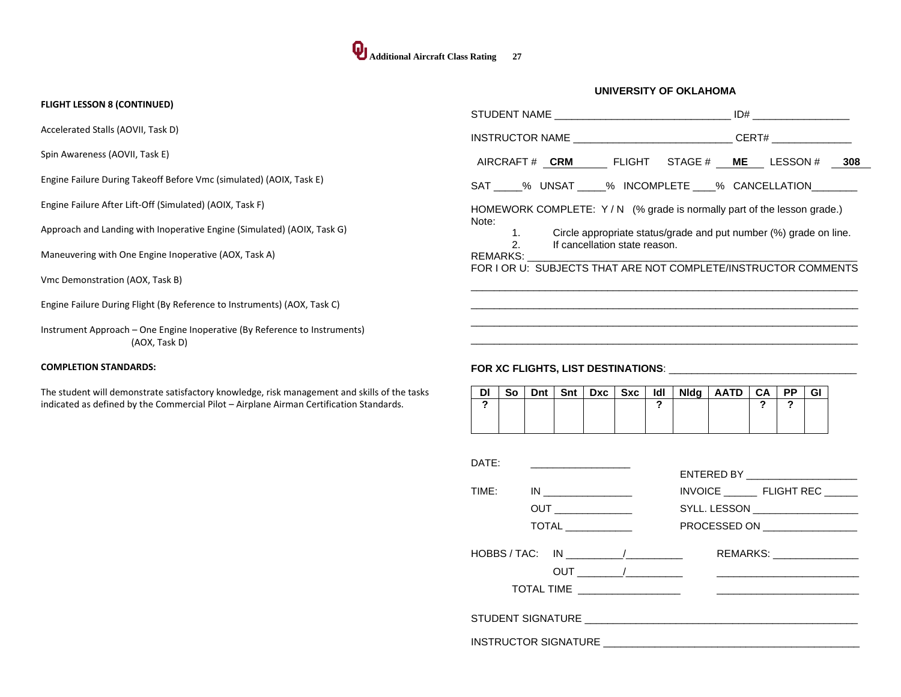#### **FLIGHT LESSON 8 (CONTINUED)**

Accelerated Stalls (AOVII, Task D)

Spin Awareness (AOVII, Task E)

Engine Failure During Takeoff Before Vmc (simulated) (AOIX, Task E)

Engine Failure After Lift-Off (Simulated) (AOIX, Task F)

Approach and Landing with Inoperative Engine (Simulated) (AOIX, Task G)

Maneuvering with One Engine Inoperative (AOX, Task A)

Vmc Demonstration (AOX, Task B)

Engine Failure During Flight (By Reference to Instruments) (AOX, Task C)

Instrument Approach – One Engine Inoperative (By Reference to Instruments) (AOX, Task D)

#### **COMPLETION STANDARDS:**

The student will demonstrate satisfactory knowledge, risk management and skills of the tasks indicated as defined by the Commercial Pilot – Airplane Airman Certification Standards.

| INSTRUCTOR NAME ________________________________CERT# __________________________                                                                                                                                                                                                                              |  |
|---------------------------------------------------------------------------------------------------------------------------------------------------------------------------------------------------------------------------------------------------------------------------------------------------------------|--|
| AIRCRAFT# CRM FLIGHT STAGE# ME LESSON# 308                                                                                                                                                                                                                                                                    |  |
| SAT % UNSAT % INCOMPLETE % CANCELLATION                                                                                                                                                                                                                                                                       |  |
| HOMEWORK COMPLETE: Y/N (% grade is normally part of the lesson grade.)<br>Note:<br>1. Circle appropriate status/grade and put number (%) grade on line.<br>2. If cancellation state reason.<br>REMARKS: A DISTURBANCE OF THE STATE OF THE STATE OF THE STATE OF THE STATE OF THE STATE OF THE STATE OF THE ST |  |
| FOR LOR U: SUBJECTS THAT ARE NOT COMPLETE/INSTRUCTOR COMMENTS                                                                                                                                                                                                                                                 |  |
|                                                                                                                                                                                                                                                                                                               |  |
|                                                                                                                                                                                                                                                                                                               |  |

## **FOR XC FLIGHTS, LIST DESTINATIONS**: \_\_\_\_\_\_\_\_\_\_\_\_\_\_\_\_\_\_\_\_\_\_\_\_\_\_\_\_\_\_\_\_\_

| DI |  |  |  | So   Dnt   Snt   Dxc   Sxc   Idl   Nidg   AATD   CA   PP   GI |  |  |
|----|--|--|--|---------------------------------------------------------------|--|--|
|    |  |  |  |                                                               |  |  |
|    |  |  |  |                                                               |  |  |

| DATF:                                      |                                         | ENTERED BY _______________________                                                                           |  |  |  |  |
|--------------------------------------------|-----------------------------------------|--------------------------------------------------------------------------------------------------------------|--|--|--|--|
| TIME:                                      |                                         | INVOICE FLIGHT REC                                                                                           |  |  |  |  |
|                                            |                                         | SYLL. LESSON ____________________                                                                            |  |  |  |  |
|                                            | $\overline{\text{TOTAL}}$ _____________ | PROCESSED ON _________________                                                                               |  |  |  |  |
| $HOBBS / TAC: IN$ $\qquad \qquad \qquad /$ | TOTAL TIME ____________________         | REMARKS: ________________<br>the contract of the contract of the contract of the contract of the contract of |  |  |  |  |
|                                            |                                         |                                                                                                              |  |  |  |  |
| <b>INSTRUCTOR SIGNATURE</b>                |                                         |                                                                                                              |  |  |  |  |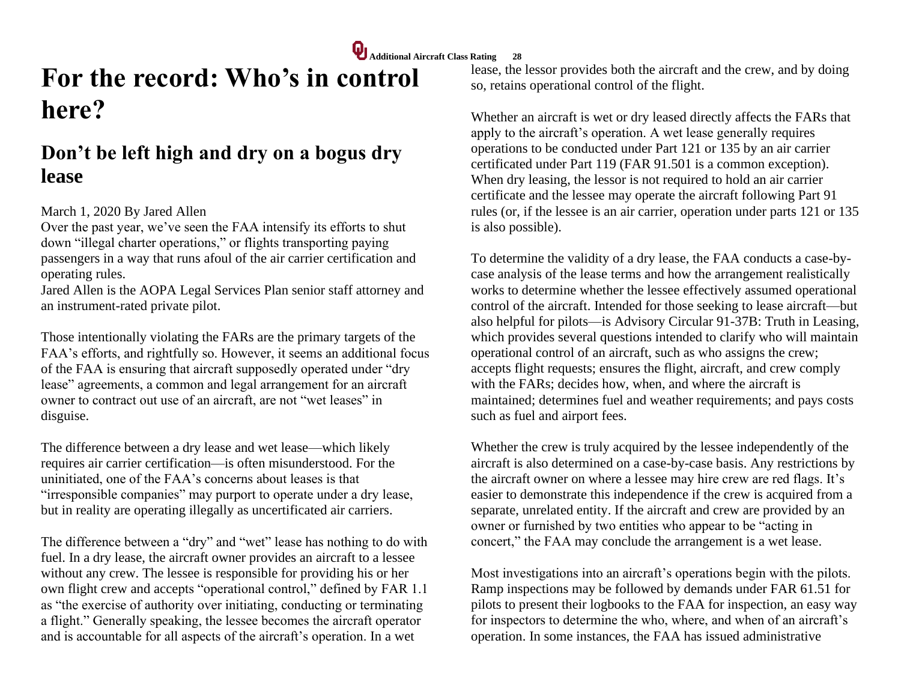# **For the record: Who's in control here?**

## **Don't be left high and dry on a bogus dry lease**

## March 1, 2020 By Jared Allen

Over the past year, we've seen the FAA intensify its efforts to shut down "illegal charter operations," or flights transporting paying passengers in a way that runs afoul of the air carrier certification and operating rules.

Jared Allen is the AOPA Legal Services Plan senior staff attorney and an instrument-rated private pilot.

Those intentionally violating the FARs are the primary targets of the FAA's efforts, and rightfully so. However, it seems an additional focus of the FAA is ensuring that aircraft supposedly operated under "dry lease" agreements, a common and legal arrangement for an aircraft owner to contract out use of an aircraft, are not "wet leases" in disguise.

The difference between a dry lease and wet lease—which likely requires air carrier certification—is often misunderstood. For the uninitiated, one of the FAA's concerns about leases is that "irresponsible companies" may purport to operate under a dry lease, but in reality are operating illegally as uncertificated air carriers.

The difference between a "dry" and "wet" lease has nothing to do with fuel. In a dry lease, the aircraft owner provides an aircraft to a lessee without any crew. The lessee is responsible for providing his or her own flight crew and accepts "operational control," defined by FAR 1.1 as "the exercise of authority over initiating, conducting or terminating a flight." Generally speaking, the lessee becomes the aircraft operator and is accountable for all aspects of the aircraft's operation. In a wet

lease, the lessor provides both the aircraft and the crew, and by doing so, retains operational control of the flight.

Whether an aircraft is wet or dry leased directly affects the FARs that apply to the aircraft's operation. A wet lease generally requires operations to be conducted under Part 121 or 135 by an air carrier certificated under Part 119 (FAR 91.501 is a common exception). When dry leasing, the lessor is not required to hold an air carrier certificate and the lessee may operate the aircraft following Part 91 rules (or, if the lessee is an air carrier, operation under parts 121 or 135 is also possible).

To determine the validity of a dry lease, the FAA conducts a case-bycase analysis of the lease terms and how the arrangement realistically works to determine whether the lessee effectively assumed operational control of the aircraft. Intended for those seeking to lease aircraft—but also helpful for pilots—is Advisory Circular 91-37B: Truth in Leasing, which provides several questions intended to clarify who will maintain operational control of an aircraft, such as who assigns the crew; accepts flight requests; ensures the flight, aircraft, and crew comply with the FARs; decides how, when, and where the aircraft is maintained; determines fuel and weather requirements; and pays costs such as fuel and airport fees.

Whether the crew is truly acquired by the lessee independently of the aircraft is also determined on a case-by-case basis. Any restrictions by the aircraft owner on where a lessee may hire crew are red flags. It's easier to demonstrate this independence if the crew is acquired from a separate, unrelated entity. If the aircraft and crew are provided by an owner or furnished by two entities who appear to be "acting in concert," the FAA may conclude the arrangement is a wet lease.

Most investigations into an aircraft's operations begin with the pilots. Ramp inspections may be followed by demands under FAR 61.51 for pilots to present their logbooks to the FAA for inspection, an easy way for inspectors to determine the who, where, and when of an aircraft's operation. In some instances, the FAA has issued administrative